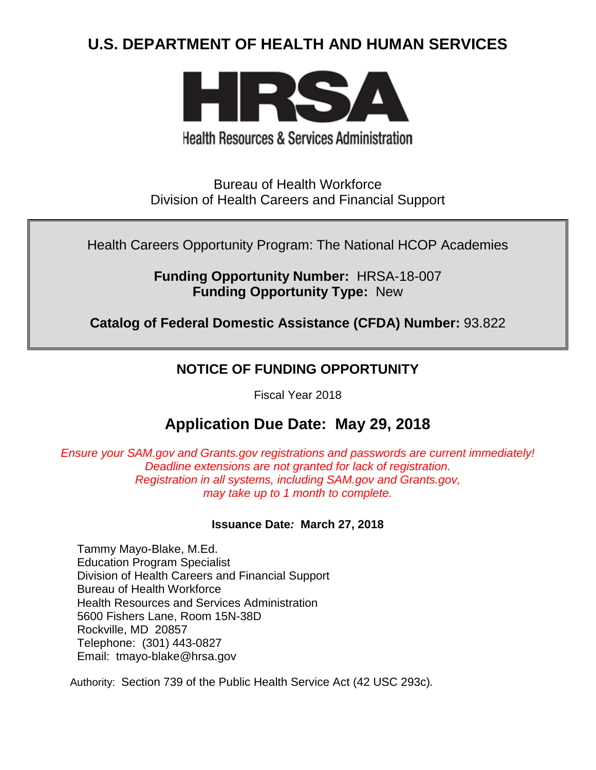# **U.S. DEPARTMENT OF HEALTH AND HUMAN SERVICES**



# **Health Resources & Services Administration**

Bureau of Health Workforce Division of Health Careers and Financial Support

Health Careers Opportunity Program: The National HCOP Academies

**Funding Opportunity Number:** HRSA-18-007 **Funding Opportunity Type:** New

**Catalog of Federal Domestic Assistance (CFDA) Number:** 93.822

## **NOTICE OF FUNDING OPPORTUNITY**

Fiscal Year 2018

# **Application Due Date: May 29, 2018**

*Ensure your SAM.gov and Grants.gov registrations and passwords are current immediately! Deadline extensions are not granted for lack of registration. Registration in all systems, including SAM.gov and Grants.gov, may take up to 1 month to complete.*

#### **Issuance Date***:* **March 27, 2018**

Tammy Mayo-Blake, M.Ed. Education Program Specialist Division of Health Careers and Financial Support Bureau of Health Workforce Health Resources and Services Administration 5600 Fishers Lane, Room 15N-38D Rockville, MD 20857 Telephone: (301) 443-0827 Email: tmayo-blake@hrsa.gov

Authority: Section 739 of the Public Health Service Act (42 USC 293c)*.*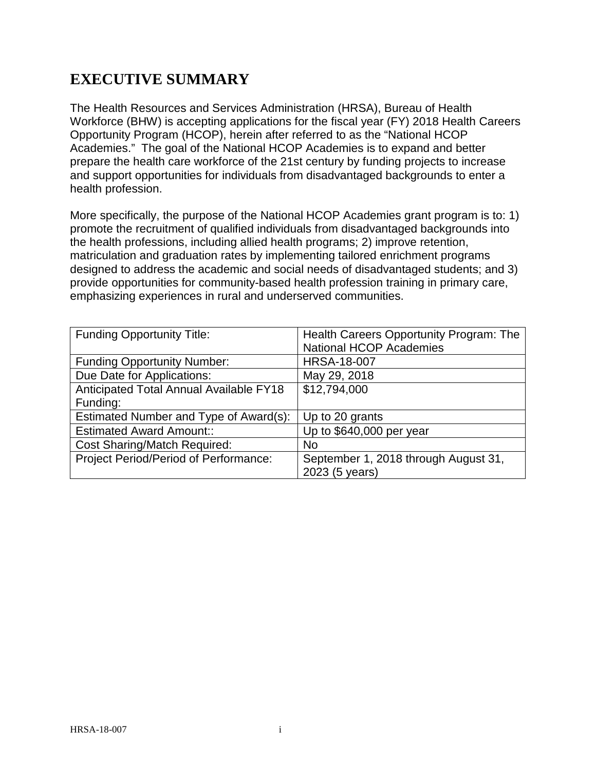# **EXECUTIVE SUMMARY**

The Health Resources and Services Administration (HRSA), Bureau of Health Workforce (BHW) is accepting applications for the fiscal year (FY) 2018 Health Careers Opportunity Program (HCOP), herein after referred to as the "National HCOP Academies." The goal of the National HCOP Academies is to expand and better prepare the health care workforce of the 21st century by funding projects to increase and support opportunities for individuals from disadvantaged backgrounds to enter a health profession.

More specifically, the purpose of the National HCOP Academies grant program is to: 1) promote the recruitment of qualified individuals from disadvantaged backgrounds into the health professions, including allied health programs; 2) improve retention, matriculation and graduation rates by implementing tailored enrichment programs designed to address the academic and social needs of disadvantaged students; and 3) provide opportunities for community-based health profession training in primary care, emphasizing experiences in rural and underserved communities.

| <b>Funding Opportunity Title:</b>       | Health Careers Opportunity Program: The |
|-----------------------------------------|-----------------------------------------|
|                                         | <b>National HCOP Academies</b>          |
| <b>Funding Opportunity Number:</b>      | <b>HRSA-18-007</b>                      |
| Due Date for Applications:              | May 29, 2018                            |
| Anticipated Total Annual Available FY18 | \$12,794,000                            |
| Funding:                                |                                         |
| Estimated Number and Type of Award(s):  | Up to 20 grants                         |
| <b>Estimated Award Amount::</b>         | Up to \$640,000 per year                |
| <b>Cost Sharing/Match Required:</b>     | No                                      |
| Project Period/Period of Performance:   | September 1, 2018 through August 31,    |
|                                         | 2023 (5 years)                          |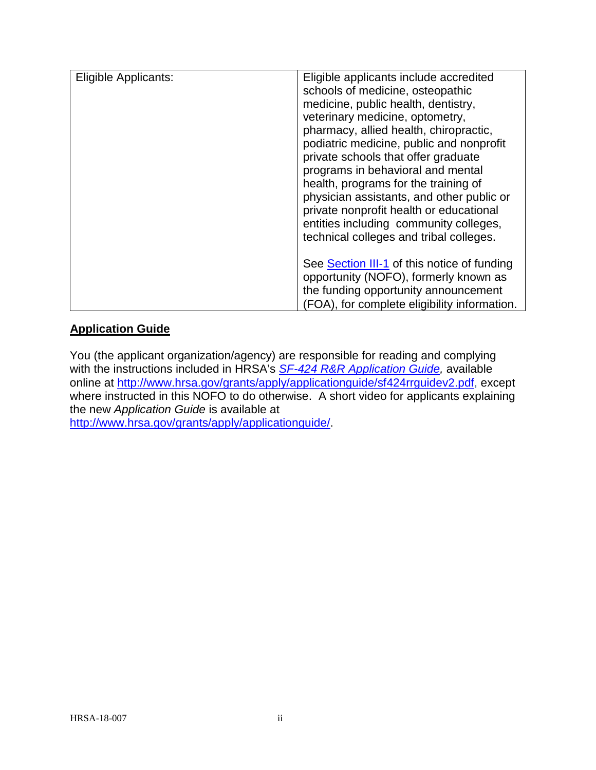| Eligible Applicants: | Eligible applicants include accredited<br>schools of medicine, osteopathic<br>medicine, public health, dentistry,<br>veterinary medicine, optometry,<br>pharmacy, allied health, chiropractic,<br>podiatric medicine, public and nonprofit<br>private schools that offer graduate<br>programs in behavioral and mental<br>health, programs for the training of<br>physician assistants, and other public or<br>private nonprofit health or educational |
|----------------------|--------------------------------------------------------------------------------------------------------------------------------------------------------------------------------------------------------------------------------------------------------------------------------------------------------------------------------------------------------------------------------------------------------------------------------------------------------|
|                      | entities including community colleges,<br>technical colleges and tribal colleges.                                                                                                                                                                                                                                                                                                                                                                      |
|                      | See Section III-1 of this notice of funding<br>opportunity (NOFO), formerly known as<br>the funding opportunity announcement<br>(FOA), for complete eligibility information.                                                                                                                                                                                                                                                                           |

#### **Application Guide**

You (the applicant organization/agency) are responsible for reading and complying with the instructions included in HRSA's *[SF-424](http://www.hrsa.gov/grants/apply/applicationguide/sf424rrguidev2.pdf,) R&R [Application Guide,](http://www.hrsa.gov/grants/apply/applicationguide/sf424rrguidev2.pdf)* available online at [http://www.hrsa.gov/grants/apply/applicationguide/sf424rrguidev2.pdf,](http://www.hrsa.gov/grants/apply/applicationguide/sf424rrguidev2.pdf) except where instructed in this NOFO to do otherwise. A short video for applicants explaining the new *Application Guide* is available at [http://www.hrsa.gov/grants/apply/applicationguide/.](http://www.hrsa.gov/grants/apply/applicationguide/)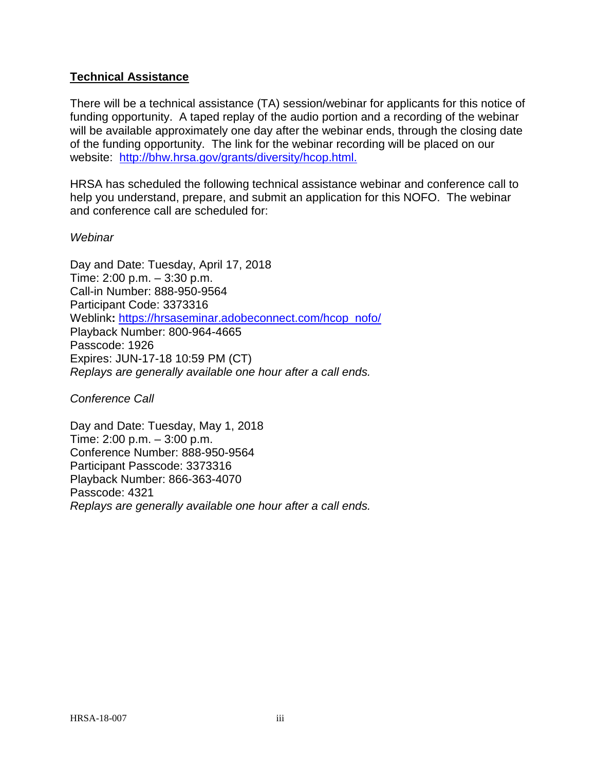#### **Technical Assistance**

There will be a technical assistance (TA) session/webinar for applicants for this notice of funding opportunity. A taped replay of the audio portion and a recording of the webinar will be available approximately one day after the webinar ends, through the closing date of the funding opportunity. The link for the webinar recording will be placed on our website: [http://bhw.hrsa.gov/grants/diversity/hcop.html.](http://bhw.hrsa.gov/grants/diversity/hcop.html)

HRSA has scheduled the following technical assistance webinar and conference call to help you understand, prepare, and submit an application for this NOFO. The webinar and conference call are scheduled for:

*Webinar*

Day and Date: Tuesday, April 17, 2018 Time: 2:00 p.m. – 3:30 p.m. Call-in Number: 888-950-9564 Participant Code: 3373316 Weblink**:** [https://hrsaseminar.adobeconnect.com/hcop\\_nofo/](https://hrsaseminar.adobeconnect.com/hcop_nofo/) Playback Number: 800-964-4665 Passcode: 1926 Expires: JUN-17-18 10:59 PM (CT) *Replays are generally available one hour after a call ends.*

*Conference Call*

Day and Date: Tuesday, May 1, 2018 Time: 2:00 p.m. – 3:00 p.m. Conference Number: 888-950-9564 Participant Passcode: 3373316 Playback Number: 866-363-4070 Passcode: 4321 *Replays are generally available one hour after a call ends.*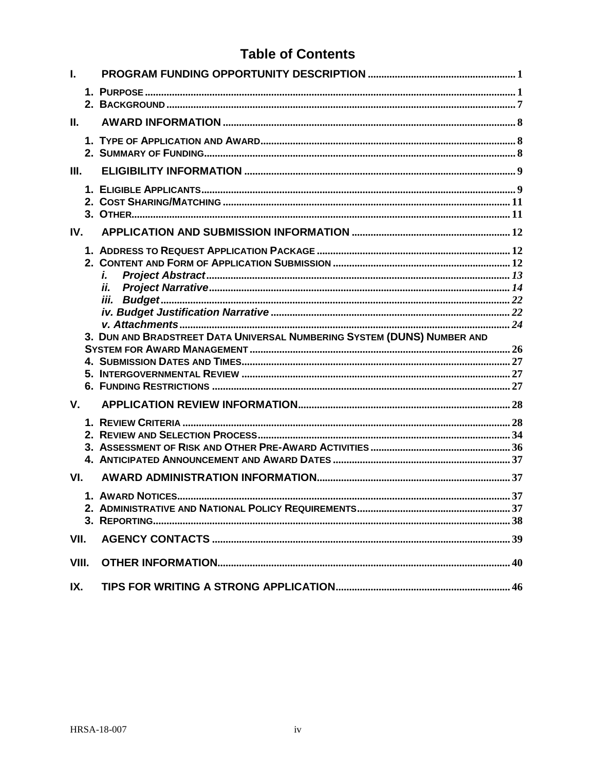## **Table of Contents**

| L.    |                                                                         |  |
|-------|-------------------------------------------------------------------------|--|
|       |                                                                         |  |
| II.   |                                                                         |  |
|       |                                                                         |  |
| III.  |                                                                         |  |
|       |                                                                         |  |
| IV.   |                                                                         |  |
|       | Í.<br>İİ.                                                               |  |
| V.    | 3. DUN AND BRADSTREET DATA UNIVERSAL NUMBERING SYSTEM (DUNS) NUMBER AND |  |
|       |                                                                         |  |
| VI.   |                                                                         |  |
| VII.  |                                                                         |  |
| VIII. |                                                                         |  |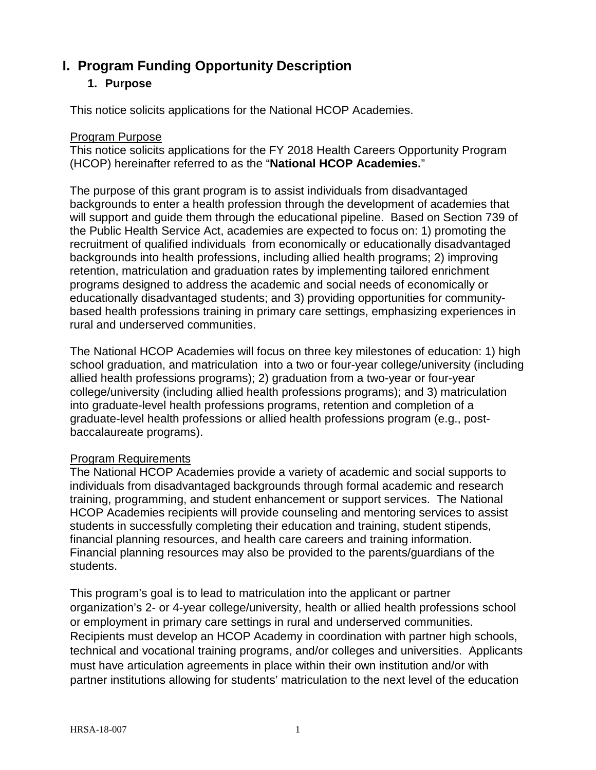## <span id="page-5-1"></span><span id="page-5-0"></span>**I. Program Funding Opportunity Description**

## **1. Purpose**

This notice solicits applications for the National HCOP Academies.

#### Program Purpose

This notice solicits applications for the FY 2018 Health Careers Opportunity Program (HCOP) hereinafter referred to as the "**National HCOP Academies.**"

The purpose of this grant program is to assist individuals from disadvantaged backgrounds to enter a health profession through the development of academies that will support and guide them through the educational pipeline. Based on Section 739 of the Public Health Service Act, academies are expected to focus on: 1) promoting the recruitment of qualified individuals from economically or educationally disadvantaged backgrounds into health professions, including allied health programs; 2) improving retention, matriculation and graduation rates by implementing tailored enrichment programs designed to address the academic and social needs of economically or educationally disadvantaged students; and 3) providing opportunities for communitybased health professions training in primary care settings, emphasizing experiences in rural and underserved communities.

The National HCOP Academies will focus on three key milestones of education: 1) high school graduation, and matriculation into a two or four-year college/university (including allied health professions programs); 2) graduation from a two-year or four-year college/university (including allied health professions programs); and 3) matriculation into graduate-level health professions programs, retention and completion of a graduate-level health professions or allied health professions program (e.g., postbaccalaureate programs).

## Program Requirements

The National HCOP Academies provide a variety of academic and social supports to individuals from disadvantaged backgrounds through formal academic and research training, programming, and student enhancement or support services. The National HCOP Academies recipients will provide counseling and mentoring services to assist students in successfully completing their education and training, student stipends, financial planning resources, and health care careers and training information. Financial planning resources may also be provided to the parents/guardians of the students.

This program's goal is to lead to matriculation into the applicant or partner organization's 2- or 4-year college/university, health or allied health professions school or employment in primary care settings in rural and underserved communities. Recipients must develop an HCOP Academy in coordination with partner high schools, technical and vocational training programs, and/or colleges and universities. Applicants must have articulation agreements in place within their own institution and/or with partner institutions allowing for students' matriculation to the next level of the education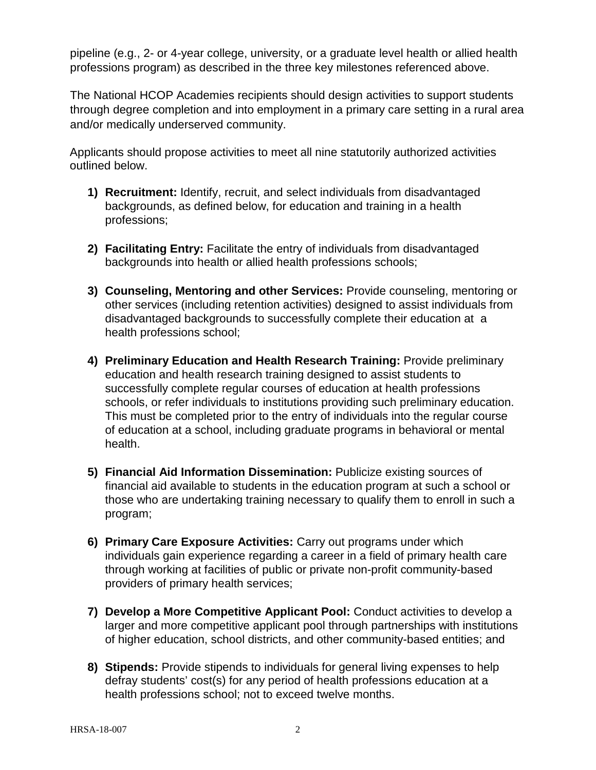pipeline (e.g., 2- or 4-year college, university, or a graduate level health or allied health professions program) as described in the three key milestones referenced above.

The National HCOP Academies recipients should design activities to support students through degree completion and into employment in a primary care setting in a rural area and/or medically underserved community.

Applicants should propose activities to meet all nine statutorily authorized activities outlined below.

- **1) Recruitment:** Identify, recruit, and select individuals from disadvantaged backgrounds, as defined below, for education and training in a health professions;
- **2) Facilitating Entry:** Facilitate the entry of individuals from disadvantaged backgrounds into health or allied health professions schools;
- **3) Counseling, Mentoring and other Services:** Provide counseling, mentoring or other services (including retention activities) designed to assist individuals from disadvantaged backgrounds to successfully complete their education at a health professions school;
- **4) Preliminary Education and Health Research Training:** Provide preliminary education and health research training designed to assist students to successfully complete regular courses of education at health professions schools, or refer individuals to institutions providing such preliminary education. This must be completed prior to the entry of individuals into the regular course of education at a school, including graduate programs in behavioral or mental health.
- **5) Financial Aid Information Dissemination:** Publicize existing sources of financial aid available to students in the education program at such a school or those who are undertaking training necessary to qualify them to enroll in such a program;
- **6) Primary Care Exposure Activities:** Carry out programs under which individuals gain experience regarding a career in a field of primary health care through working at facilities of public or private non-profit community-based providers of primary health services;
- **7) Develop a More Competitive Applicant Pool:** Conduct activities to develop a larger and more competitive applicant pool through partnerships with institutions of higher education, school districts, and other community-based entities; and
- **8) Stipends:** Provide stipends to individuals for general living expenses to help defray students' cost(s) for any period of health professions education at a health professions school; not to exceed twelve months.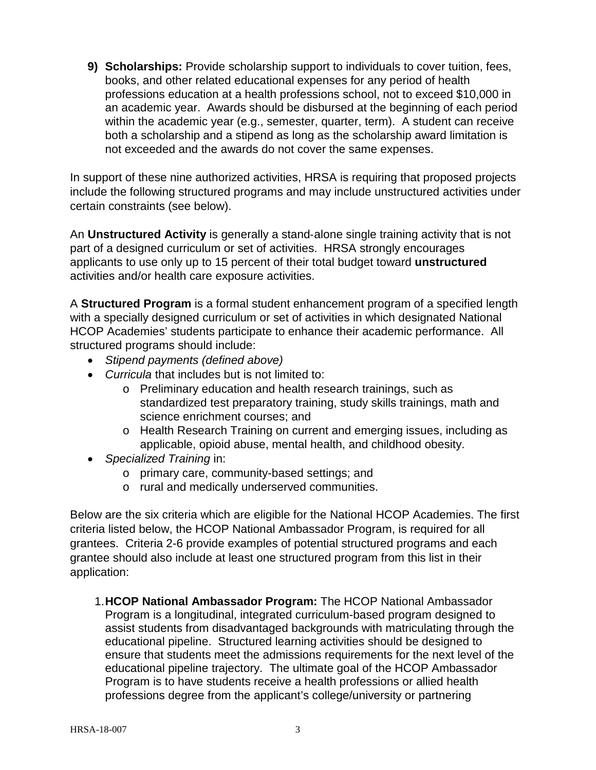**9) Scholarships:** Provide scholarship support to individuals to cover tuition, fees, books, and other related educational expenses for any period of health professions education at a health professions school, not to exceed \$10,000 in an academic year. Awards should be disbursed at the beginning of each period within the academic year (e.g., semester, quarter, term). A student can receive both a scholarship and a stipend as long as the scholarship award limitation is not exceeded and the awards do not cover the same expenses.

In support of these nine authorized activities, HRSA is requiring that proposed projects include the following structured programs and may include unstructured activities under certain constraints (see below).

An **Unstructured Activity** is generally a stand‐alone single training activity that is not part of a designed curriculum or set of activities. HRSA strongly encourages applicants to use only up to 15 percent of their total budget toward **unstructured** activities and/or health care exposure activities.

A **Structured Program** is a formal student enhancement program of a specified length with a specially designed curriculum or set of activities in which designated National HCOP Academies' students participate to enhance their academic performance. All structured programs should include:

- *Stipend payments (defined above)*
- *Curricula* that includes but is not limited to:
	- o Preliminary education and health research trainings, such as standardized test preparatory training, study skills trainings, math and science enrichment courses; and
	- o Health Research Training on current and emerging issues, including as applicable, opioid abuse, mental health, and childhood obesity.
- *Specialized Training* in:
	- o primary care, community-based settings; and
	- o rural and medically underserved communities.

Below are the six criteria which are eligible for the National HCOP Academies. The first criteria listed below, the HCOP National Ambassador Program, is required for all grantees. Criteria 2-6 provide examples of potential structured programs and each grantee should also include at least one structured program from this list in their application:

1.**HCOP National Ambassador Program:** The HCOP National Ambassador Program is a longitudinal, integrated curriculum-based program designed to assist students from disadvantaged backgrounds with matriculating through the educational pipeline. Structured learning activities should be designed to ensure that students meet the admissions requirements for the next level of the educational pipeline trajectory. The ultimate goal of the HCOP Ambassador Program is to have students receive a health professions or allied health professions degree from the applicant's college/university or partnering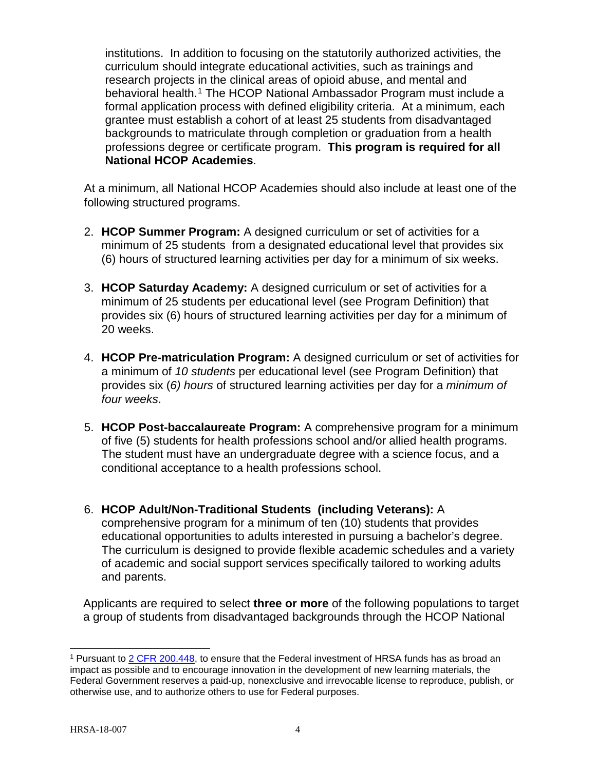institutions. In addition to focusing on the statutorily authorized activities, the curriculum should integrate educational activities, such as trainings and research projects in the clinical areas of opioid abuse, and mental and behavioral health.<sup>[1](#page-8-0)</sup> The HCOP National Ambassador Program must include a formal application process with defined eligibility criteria. At a minimum, each grantee must establish a cohort of at least 25 students from disadvantaged backgrounds to matriculate through completion or graduation from a health professions degree or certificate program. **This program is required for all National HCOP Academies**.

At a minimum, all National HCOP Academies should also include at least one of the following structured programs.

- 2. **HCOP Summer Program:** A designed curriculum or set of activities for a minimum of 25 students from a designated educational level that provides six (6) hours of structured learning activities per day for a minimum of six weeks.
- 3. **HCOP Saturday Academy:** A designed curriculum or set of activities for a minimum of 25 students per educational level (see Program Definition) that provides six (6) hours of structured learning activities per day for a minimum of 20 weeks.
- 4. **HCOP Pre-matriculation Program:** A designed curriculum or set of activities for a minimum of *10 students* per educational level (see Program Definition) that provides six (*6) hours* of structured learning activities per day for a *minimum of four weeks*.
- 5. **HCOP Post-baccalaureate Program:** A comprehensive program for a minimum of five (5) students for health professions school and/or allied health programs. The student must have an undergraduate degree with a science focus, and a conditional acceptance to a health professions school.
- 6. **HCOP Adult/Non-Traditional Students (including Veterans):** A comprehensive program for a minimum of ten (10) students that provides educational opportunities to adults interested in pursuing a bachelor's degree. The curriculum is designed to provide flexible academic schedules and a variety of academic and social support services specifically tailored to working adults and parents.

Applicants are required to select **three or more** of the following populations to target a group of students from disadvantaged backgrounds through the HCOP National

<span id="page-8-0"></span> $\overline{a}$ <sup>1</sup> Pursuant to [2 CFR 200.448,](https://www.ecfr.gov/cgi-bin/text-idx?SID=6f7fcfd64843c1252a9460c55a940bb2&mc=true&node=se2.1.200_1448&rgn=div8) to ensure that the Federal investment of HRSA funds has as broad an impact as possible and to encourage innovation in the development of new learning materials, the Federal Government reserves a paid-up, nonexclusive and irrevocable license to reproduce, publish, or otherwise use, and to authorize others to use for Federal purposes.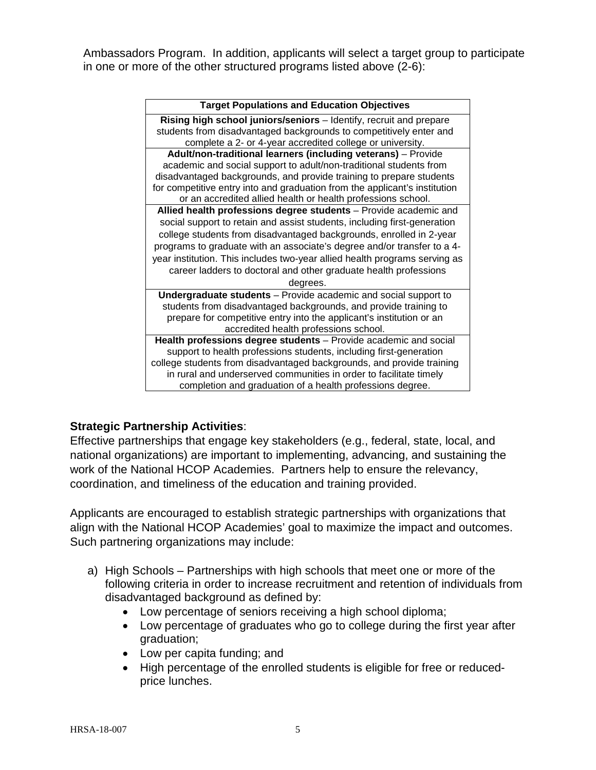Ambassadors Program. In addition, applicants will select a target group to participate in one or more of the other structured programs listed above (2-6):

| <b>Target Populations and Education Objectives</b>                         |  |
|----------------------------------------------------------------------------|--|
| Rising high school juniors/seniors - Identify, recruit and prepare         |  |
| students from disadvantaged backgrounds to competitively enter and         |  |
| complete a 2- or 4-year accredited college or university.                  |  |
| Adult/non-traditional learners (including veterans) - Provide              |  |
| academic and social support to adult/non-traditional students from         |  |
| disadvantaged backgrounds, and provide training to prepare students        |  |
| for competitive entry into and graduation from the applicant's institution |  |
| or an accredited allied health or health professions school.               |  |
| Allied health professions degree students - Provide academic and           |  |
| social support to retain and assist students, including first-generation   |  |
| college students from disadvantaged backgrounds, enrolled in 2-year        |  |
| programs to graduate with an associate's degree and/or transfer to a 4-    |  |
| year institution. This includes two-year allied health programs serving as |  |
| career ladders to doctoral and other graduate health professions           |  |
| degrees.                                                                   |  |
| Undergraduate students - Provide academic and social support to            |  |
| students from disadvantaged backgrounds, and provide training to           |  |
| prepare for competitive entry into the applicant's institution or an       |  |
| accredited health professions school.                                      |  |
| Health professions degree students - Provide academic and social           |  |
| support to health professions students, including first-generation         |  |
| college students from disadvantaged backgrounds, and provide training      |  |
| in rural and underserved communities in order to facilitate timely         |  |
| completion and graduation of a health professions degree.                  |  |

## **Strategic Partnership Activities**:

Effective partnerships that engage key stakeholders (e.g., federal, state, local, and national organizations) are important to implementing, advancing, and sustaining the work of the National HCOP Academies. Partners help to ensure the relevancy, coordination, and timeliness of the education and training provided.

Applicants are encouraged to establish strategic partnerships with organizations that align with the National HCOP Academies' goal to maximize the impact and outcomes. Such partnering organizations may include:

- a) High Schools Partnerships with high schools that meet one or more of the following criteria in order to increase recruitment and retention of individuals from disadvantaged background as defined by:
	- Low percentage of seniors receiving a high school diploma;
	- Low percentage of graduates who go to college during the first year after graduation;
	- Low per capita funding; and
	- High percentage of the enrolled students is eligible for free or reducedprice lunches.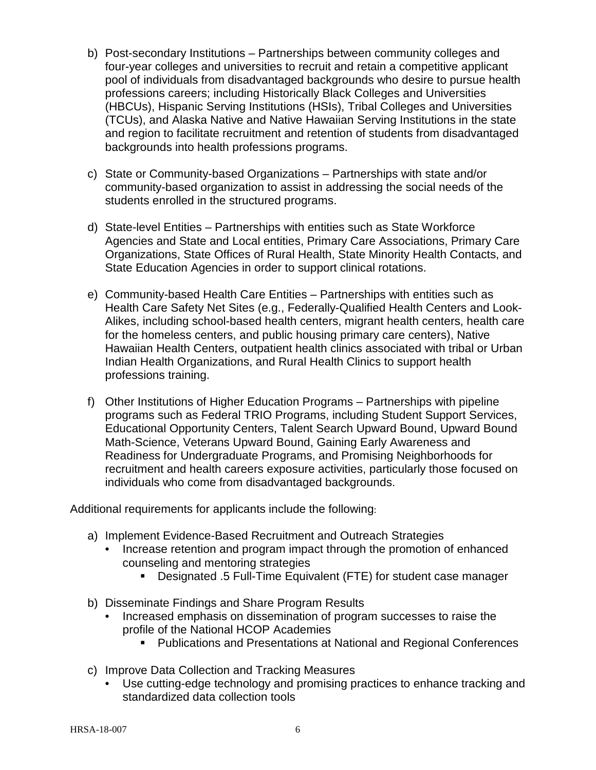- b) Post-secondary Institutions Partnerships between community colleges and four-year colleges and universities to recruit and retain a competitive applicant pool of individuals from disadvantaged backgrounds who desire to pursue health professions careers; including Historically Black Colleges and Universities (HBCUs), Hispanic Serving Institutions (HSIs), Tribal Colleges and Universities (TCUs), and Alaska Native and Native Hawaiian Serving Institutions in the state and region to facilitate recruitment and retention of students from disadvantaged backgrounds into health professions programs.
- c) State or Community-based Organizations Partnerships with state and/or community-based organization to assist in addressing the social needs of the students enrolled in the structured programs.
- d) State-level Entities Partnerships with entities such as State Workforce Agencies and State and Local entities, Primary Care Associations, Primary Care Organizations, State Offices of Rural Health, State Minority Health Contacts, and State Education Agencies in order to support clinical rotations.
- e) Community-based Health Care Entities Partnerships with entities such as Health Care Safety Net Sites (e.g., Federally-Qualified Health Centers and Look-Alikes, including school-based health centers, migrant health centers, health care for the homeless centers, and public housing primary care centers), Native Hawaiian Health Centers, outpatient health clinics associated with tribal or Urban Indian Health Organizations, and Rural Health Clinics to support health professions training.
- f) Other Institutions of Higher Education Programs Partnerships with pipeline programs such as Federal TRIO Programs, including Student Support Services, Educational Opportunity Centers, Talent Search Upward Bound, Upward Bound Math-Science, Veterans Upward Bound, Gaining Early Awareness and Readiness for Undergraduate Programs, and Promising Neighborhoods for recruitment and health careers exposure activities, particularly those focused on individuals who come from disadvantaged backgrounds.

Additional requirements for applicants include the following:

- a) Implement Evidence-Based Recruitment and Outreach Strategies
	- Increase retention and program impact through the promotion of enhanced counseling and mentoring strategies
		- Designated .5 Full-Time Equivalent (FTE) for student case manager
- b) Disseminate Findings and Share Program Results
	- Increased emphasis on dissemination of program successes to raise the profile of the National HCOP Academies
		- Publications and Presentations at National and Regional Conferences
- c) Improve Data Collection and Tracking Measures
	- Use cutting-edge technology and promising practices to enhance tracking and standardized data collection tools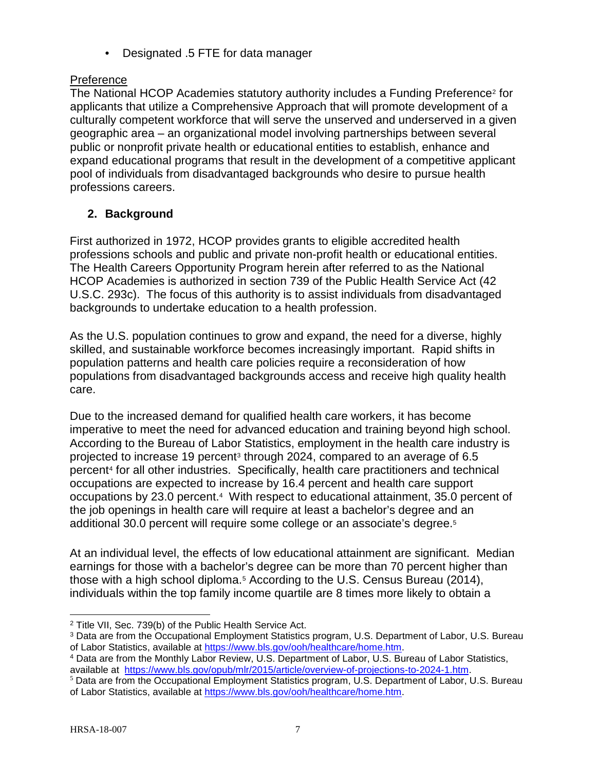• Designated .5 FTE for data manager

## Preference

The National HCOP Academies statutory authority includes a Funding Preference<sup>[2](#page-11-1)</sup> for applicants that utilize a Comprehensive Approach that will promote development of a culturally competent workforce that will serve the unserved and underserved in a given geographic area – an organizational model involving partnerships between several public or nonprofit private health or educational entities to establish, enhance and expand educational programs that result in the development of a competitive applicant pool of individuals from disadvantaged backgrounds who desire to pursue health professions careers.

## <span id="page-11-0"></span>**2. Background**

First authorized in 1972, HCOP provides grants to eligible accredited health professions schools and public and private non-profit health or educational entities. The Health Careers Opportunity Program herein after referred to as the National HCOP Academies is authorized in section 739 of the Public Health Service Act (42 U.S.C. 293c). The focus of this authority is to assist individuals from disadvantaged backgrounds to undertake education to a health profession.

As the U.S. population continues to grow and expand, the need for a diverse, highly skilled, and sustainable workforce becomes increasingly important. Rapid shifts in population patterns and health care policies require a reconsideration of how populations from disadvantaged backgrounds access and receive high quality health care.

Due to the increased demand for qualified health care workers, it has become imperative to meet the need for advanced education and training beyond high school. According to the Bureau of Labor Statistics, employment in the health care industry is projected to increase 19 percent<sup>[3](#page-11-2)</sup> through 2024, compared to an average of 6.5 percent[4](#page-11-3) for all other industries. Specifically, health care practitioners and technical occupations are expected to increase by 16.4 percent and health care support occupations by 23.0 percent.4 With respect to educational attainment, 35.0 percent of the job openings in health care will require at least a bachelor's degree and an additional 30.0 percent will require some college or an associate's degree.5

At an individual level, the effects of low educational attainment are significant. Median earnings for those with a bachelor's degree can be more than 70 percent higher than those with a high school diploma.[5](#page-11-4) According to the U.S. Census Bureau (2014), individuals within the top family income quartile are 8 times more likely to obtain a

<span id="page-11-1"></span> $\overline{a}$ <sup>2</sup> Title VII, Sec. 739(b) of the Public Health Service Act.

<span id="page-11-2"></span><sup>3</sup> Data are from the Occupational Employment Statistics program, U.S. Department of Labor, U.S. Bureau of Labor Statistics, available at [https://www.bls.gov/ooh/healthcare/home.htm.](https://www.bls.gov/ooh/healthcare/home.htm)

<span id="page-11-3"></span><sup>4</sup> Data are from the Monthly Labor Review, U.S. Department of Labor, U.S. Bureau of Labor Statistics, available at [https://www.bls.gov/opub/mlr/2015/article/overview-of-projections-to-2024-1.htm.](https://www.bls.gov/opub/mlr/2015/article/overview-of-projections-to-2024-1.htm)

<span id="page-11-4"></span><sup>5</sup> Data are from the Occupational Employment Statistics program, U.S. Department of Labor, U.S. Bureau of Labor Statistics, available at [https://www.bls.gov/ooh/healthcare/home.htm.](https://www.bls.gov/ooh/healthcare/home.htm)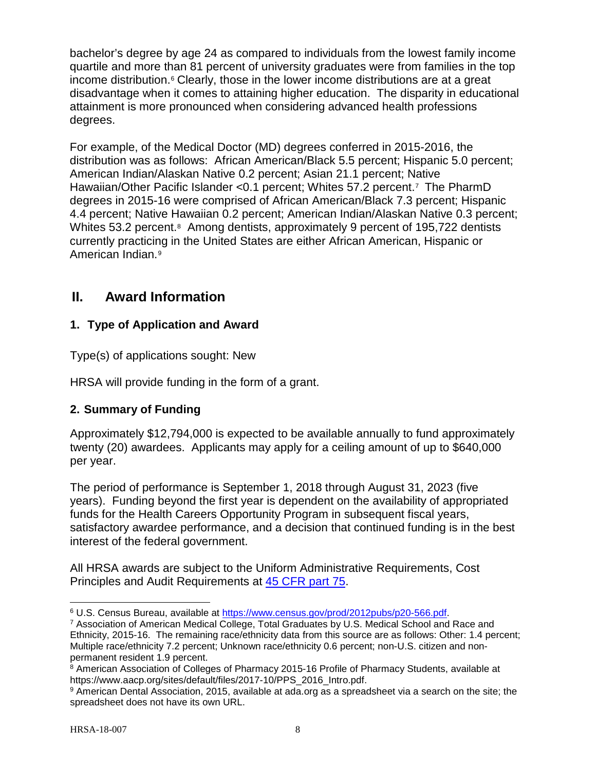bachelor's degree by age 24 as compared to individuals from the lowest family income quartile and more than 81 percent of university graduates were from families in the top income distribution.<sup>[6](#page-12-3)</sup> Clearly, those in the lower income distributions are at a great disadvantage when it comes to attaining higher education. The disparity in educational attainment is more pronounced when considering advanced health professions degrees.

For example, of the Medical Doctor (MD) degrees conferred in 2015-2016, the distribution was as follows: African American/Black 5.5 percent; Hispanic 5.0 percent; American Indian/Alaskan Native 0.2 percent; Asian 21.1 percent; Native Hawaiian/Other Pacific Islander < 0.1 percent; Whites 5[7](#page-12-4).2 percent.<sup>7</sup> The PharmD degrees in 2015-16 were comprised of African American/Black 7.3 percent; Hispanic 4.4 percent; Native Hawaiian 0.2 percent; American Indian/Alaskan Native 0.3 percent; Whites 53.2 percent.<sup>[8](#page-12-5)</sup> Among dentists, approximately 9 percent of 195,722 dentists currently practicing in the United States are either African American, Hispanic or American Indian.[9](#page-12-6) 

## <span id="page-12-0"></span>**II. Award Information**

## <span id="page-12-1"></span>**1. Type of Application and Award**

Type(s) of applications sought: New

HRSA will provide funding in the form of a grant.

## <span id="page-12-2"></span>**2. Summary of Funding**

Approximately \$12,794,000 is expected to be available annually to fund approximately twenty (20) awardees. Applicants may apply for a ceiling amount of up to \$640,000 per year.

The period of performance is September 1, 2018 through August 31, 2023 (five years). Funding beyond the first year is dependent on the availability of appropriated funds for the Health Careers Opportunity Program in subsequent fiscal years, satisfactory awardee performance, and a decision that continued funding is in the best interest of the federal government.

All HRSA awards are subject to the Uniform Administrative Requirements, Cost Principles and Audit Requirements at [45 CFR part 75.](http://www.ecfr.gov/cgi-bin/retrieveECFR?gp=1&SID=4d52364ec83fab994c665943dadf9cf7&ty=HTML&h=L&r=PART&n=pt45.1.75)

<span id="page-12-3"></span> $\overline{a}$ <sup>6</sup> U.S. Census Bureau, available at [https://www.census.gov/prod/2012pubs/p20-566.pdf.](https://www.census.gov/prod/2012pubs/p20-566.pdf)<br><sup>7</sup> Association of American Medical College, Total Graduates by U.S. Medical School and Race and

<span id="page-12-4"></span>Ethnicity, 2015-16. The remaining race/ethnicity data from this source are as follows: Other: 1.4 percent; Multiple race/ethnicity 7.2 percent; Unknown race/ethnicity 0.6 percent; non-U.S. citizen and nonpermanent resident 1.9 percent.

<span id="page-12-5"></span><sup>8</sup> American Association of Colleges of Pharmacy 2015-16 Profile of Pharmacy Students, available at https://www.aacp.org/sites/default/files/2017-10/PPS\_2016\_Intro.pdf.

<span id="page-12-6"></span><sup>9</sup> American Dental Association, 2015, available at ada.org as a spreadsheet via a search on the site; the spreadsheet does not have its own URL.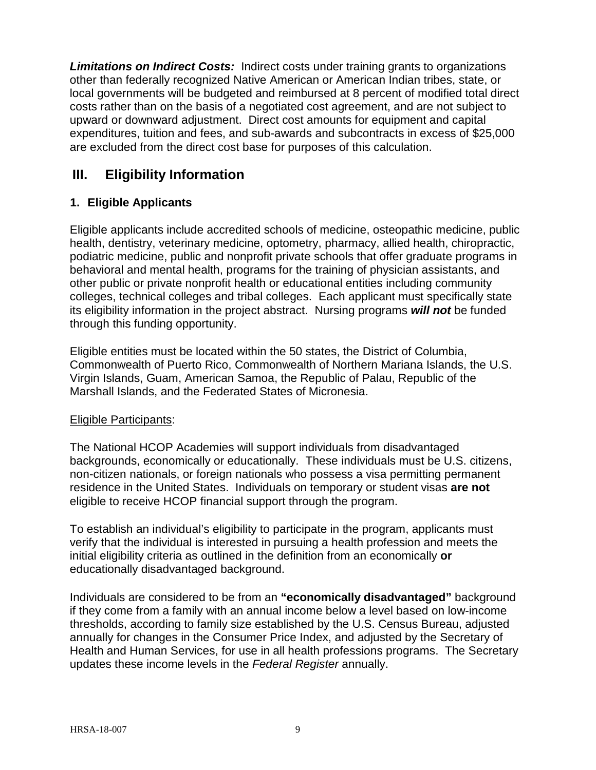*Limitations on Indirect Costs:* Indirect costs under training grants to organizations other than federally recognized Native American or American Indian tribes, state, or local governments will be budgeted and reimbursed at 8 percent of modified total direct costs rather than on the basis of a negotiated cost agreement, and are not subject to upward or downward adjustment. Direct cost amounts for equipment and capital expenditures, tuition and fees, and sub-awards and subcontracts in excess of \$25,000 are excluded from the direct cost base for purposes of this calculation.

## <span id="page-13-1"></span>**III. Eligibility Information**

## <span id="page-13-0"></span>**1. Eligible Applicants**

Eligible applicants include accredited schools of medicine, osteopathic medicine, public health, dentistry, veterinary medicine, optometry, pharmacy, allied health, chiropractic, podiatric medicine, public and nonprofit private schools that offer graduate programs in behavioral and mental health, programs for the training of physician assistants, and other public or private nonprofit health or educational entities including community colleges, technical colleges and tribal colleges. Each applicant must specifically state its eligibility information in the project abstract. Nursing programs *will not* be funded through this funding opportunity.

Eligible entities must be located within the 50 states, the District of Columbia, Commonwealth of Puerto Rico, Commonwealth of Northern Mariana Islands, the U.S. Virgin Islands, Guam, American Samoa, the Republic of Palau, Republic of the Marshall Islands, and the Federated States of Micronesia.

## Eligible Participants:

The National HCOP Academies will support individuals from disadvantaged backgrounds, economically or educationally. These individuals must be U.S. citizens, non-citizen nationals, or foreign nationals who possess a visa permitting permanent residence in the United States. Individuals on temporary or student visas **are not**  eligible to receive HCOP financial support through the program.

To establish an individual's eligibility to participate in the program, applicants must verify that the individual is interested in pursuing a health profession and meets the initial eligibility criteria as outlined in the definition from an economically **or** educationally disadvantaged background.

Individuals are considered to be from an **"economically disadvantaged"** background if they come from a family with an annual income below a level based on low-income thresholds, according to family size established by the U.S. Census Bureau, adjusted annually for changes in the Consumer Price Index, and adjusted by the Secretary of Health and Human Services, for use in all health professions programs. The Secretary updates these [income levels in the](http://www.lrp.nih.gov/about_the_programs/2014_HHS_poverty_guidelines.pdf) *[Federal Register](http://www.lrp.nih.gov/about_the_programs/2014_HHS_poverty_guidelines.pdf)* [annually.](http://www.lrp.nih.gov/about_the_programs/2014_HHS_poverty_guidelines.pdf)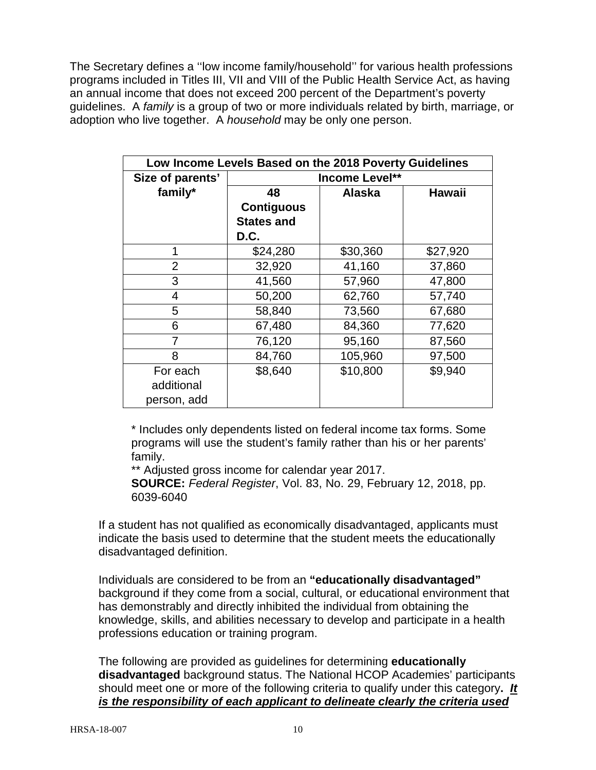The Secretary defines a ''low income family/household'' for various health professions programs included in Titles III, VII and VIII of the Public Health Service Act, as having an annual income that does not exceed 200 percent of the Department's poverty guidelines. A *family* is a group of two or more individuals related by birth, marriage, or adoption who live together. A *household* may be only one person.

| Low Income Levels Based on the 2018 Poverty Guidelines |                   |               |               |
|--------------------------------------------------------|-------------------|---------------|---------------|
| Size of parents'                                       | Income Level**    |               |               |
| family*                                                | 48                | <b>Alaska</b> | <b>Hawaii</b> |
|                                                        | <b>Contiguous</b> |               |               |
|                                                        | <b>States and</b> |               |               |
|                                                        | D.C.              |               |               |
| 1                                                      | \$24,280          | \$30,360      | \$27,920      |
| $\overline{2}$                                         | 32,920            | 41,160        | 37,860        |
| 3                                                      | 41,560            | 57,960        | 47,800        |
| $\overline{4}$                                         | 50,200            | 62,760        | 57,740        |
| 5                                                      | 58,840            | 73,560        | 67,680        |
| 6                                                      | 67,480            | 84,360        | 77,620        |
| 7                                                      | 76,120            | 95,160        | 87,560        |
| 8                                                      | 84,760            | 105,960       | 97,500        |
| For each                                               | \$8,640           | \$10,800      | \$9,940       |
| additional                                             |                   |               |               |
| person, add                                            |                   |               |               |

\* Includes only dependents listed on federal income tax forms. Some programs will use the student's family rather than his or her parents' family.

\*\* Adjusted gross income for calendar year 2017.

**SOURCE:** *Federal Register*, Vol. 83, No. 29, February 12, 2018, pp. 6039-6040

If a student has not qualified as economically disadvantaged, applicants must indicate the basis used to determine that the student meets the educationally disadvantaged definition.

Individuals are considered to be from an **"educationally disadvantaged"** background if they come from a social, cultural, or educational environment that has demonstrably and directly inhibited the individual from obtaining the knowledge, skills, and abilities necessary to develop and participate in a health professions education or training program.

The following are provided as guidelines for determining **educationally disadvantaged** background status. The National HCOP Academies' participants should meet one or more of the following criteria to qualify under this category**.** *It is the responsibility of each applicant to delineate clearly the criteria used*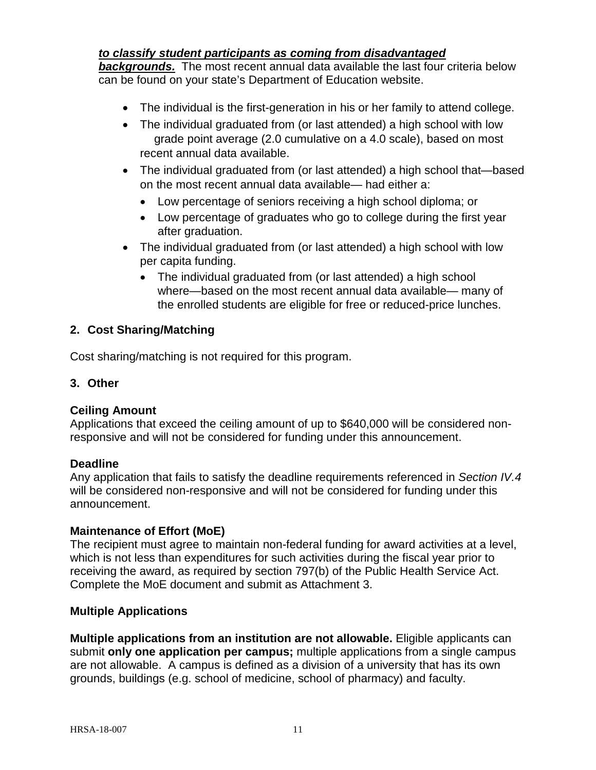#### *to classify student participants as coming from disadvantaged*

*backgrounds.* The most recent annual data available the last four criteria below can be found on your state's Department of Education website.

- The individual is the first-generation in his or her family to attend college.
- The individual graduated from (or last attended) a high school with low grade point average (2.0 cumulative on a 4.0 scale), based on most recent annual data available.
- The individual graduated from (or last attended) a high school that—based on the most recent annual data available— had either a:
	- Low percentage of seniors receiving a high school diploma; or
	- Low percentage of graduates who go to college during the first year after graduation.
- The individual graduated from (or last attended) a high school with low per capita funding.
	- The individual graduated from (or last attended) a high school where—based on the most recent annual data available— many of the enrolled students are eligible for free or reduced-price lunches.

#### <span id="page-15-0"></span>**2. Cost Sharing/Matching**

Cost sharing/matching is not required for this program.

#### <span id="page-15-1"></span>**3. Other**

#### **Ceiling Amount**

Applications that exceed the ceiling amount of up to \$640,000 will be considered nonresponsive and will not be considered for funding under this announcement.

#### **Deadline**

Any application that fails to satisfy the deadline requirements referenced in *Section IV.4* will be considered non-responsive and will not be considered for funding under this announcement.

#### **Maintenance of Effort (MoE)**

The recipient must agree to maintain non-federal funding for award activities at a level, which is not less than expenditures for such activities during the fiscal year prior to receiving the award, as required by section 797(b) of the Public Health Service Act. Complete the MoE document and submit as Attachment 3.

## **Multiple Applications**

**Multiple applications from an institution are not allowable.** Eligible applicants can submit **only one application per campus;** multiple applications from a single campus are not allowable. A campus is defined as a division of a university that has its own grounds, buildings (e.g. school of medicine, school of pharmacy) and faculty.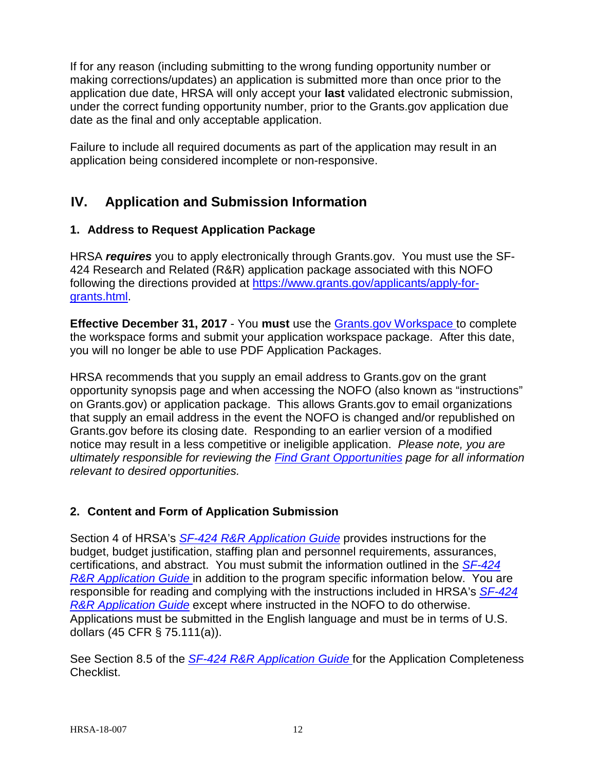If for any reason (including submitting to the wrong funding opportunity number or making corrections/updates) an application is submitted more than once prior to the application due date, HRSA will only accept your **last** validated electronic submission, under the correct funding opportunity number, prior to the Grants.gov application due date as the final and only acceptable application.

Failure to include all required documents as part of the application may result in an application being considered incomplete or non-responsive.

## <span id="page-16-0"></span>**IV. Application and Submission Information**

#### <span id="page-16-1"></span>**1. Address to Request Application Package**

HRSA *requires* you to apply electronically through Grants.gov. You must use the SF-424 Research and Related (R&R) application package associated with this NOFO following the directions provided at [https://www.grants.gov/applicants/apply-for](https://www.grants.gov/applicants/apply-for-grants.html)[grants.html.](https://www.grants.gov/applicants/apply-for-grants.html)

**Effective December 31, 2017** - You **must** use the [Grants.gov Workspace](http://www.grants.gov/web/grants/applicants/workspace-overview.html) to complete the workspace forms and submit your application workspace package. After this date, you will no longer be able to use PDF Application Packages.

HRSA recommends that you supply an email address to Grants.gov on the grant opportunity synopsis page and when accessing the NOFO (also known as "instructions" on Grants.gov) or application package. This allows Grants.gov to email organizations that supply an email address in the event the NOFO is changed and/or republished on Grants.gov before its closing date. Responding to an earlier version of a modified notice may result in a less competitive or ineligible application. *Please note, you are ultimately responsible for reviewing the [Find Grant Opportunities](http://www.grants.gov/search-grants.html) page for all information relevant to desired opportunities.*

## <span id="page-16-2"></span>**2. Content and Form of Application Submission**

Section 4 of HRSA's *SF-424 R&R [Application Guide](http://www.hrsa.gov/grants/apply/applicationguide/sf424rrguidev2.pdf)* provides instructions for the budget, budget justification, staffing plan and personnel requirements, assurances, certifications, and abstract. You must submit the information outlined in the *[SF-424](http://www.hrsa.gov/grants/apply/applicationguide/sf424rrguidev2.pdf) R&R [Application Guide](http://www.hrsa.gov/grants/apply/applicationguide/sf424rrguidev2.pdf)* in addition to the program specific information below. You are responsible for reading and complying with the instructions included in HRSA's *[SF-424](http://www.hrsa.gov/grants/apply/applicationguide/sf424rrguidev2.pdf) R&R [Application Guide](http://www.hrsa.gov/grants/apply/applicationguide/sf424rrguidev2.pdf)* except where instructed in the NOFO to do otherwise. Applications must be submitted in the English language and must be in terms of U.S. dollars (45 CFR § 75.111(a)).

See Section 8.5 of the *SF-424 R&R [Application Guide](http://www.hrsa.gov/grants/apply/applicationguide/sf424rrguidev2.pdf)* for the Application Completeness Checklist.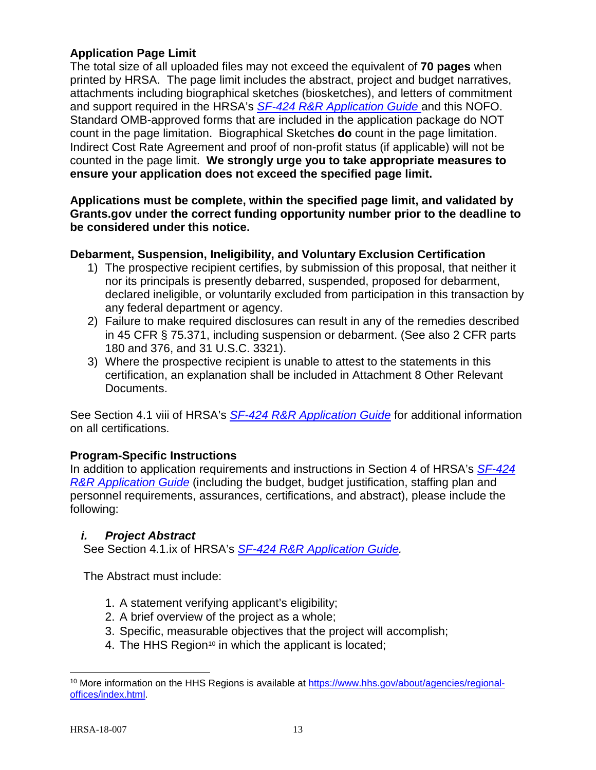#### **Application Page Limit**

The total size of all uploaded files may not exceed the equivalent of **70 pages** when printed by HRSA. The page limit includes the abstract, project and budget narratives, attachments including biographical sketches (biosketches), and letters of commitment and support required in the HRSA's *SF-424 R&R [Application Guide](http://www.hrsa.gov/grants/apply/applicationguide/sf424rrguidev2.pdf)* and this NOFO. Standard OMB-approved forms that are included in the application package do NOT count in the page limitation. Biographical Sketches **do** count in the page limitation. Indirect Cost Rate Agreement and proof of non-profit status (if applicable) will not be counted in the page limit. **We strongly urge you to take appropriate measures to ensure your application does not exceed the specified page limit.** 

**Applications must be complete, within the specified page limit, and validated by Grants.gov under the correct funding opportunity number prior to the deadline to be considered under this notice.**

#### **Debarment, Suspension, Ineligibility, and Voluntary Exclusion Certification**

- 1) The prospective recipient certifies, by submission of this proposal, that neither it nor its principals is presently debarred, suspended, proposed for debarment, declared ineligible, or voluntarily excluded from participation in this transaction by any federal department or agency.
- 2) Failure to make required disclosures can result in any of the remedies described in 45 CFR § 75.371, including suspension or debarment. (See also 2 CFR parts 180 and 376, and 31 U.S.C. 3321).
- 3) Where the prospective recipient is unable to attest to the statements in this certification, an explanation shall be included in Attachment 8 Other Relevant Documents.

See Section 4.1 viii of HRSA's *SF-424 R&R [Application Guide](http://www.hrsa.gov/grants/apply/applicationguide/sf424rrguidev2.pdf)* for additional information on all certifications.

## **Program-Specific Instructions**

In addition to application requirements and instructions in Section 4 of HRSA's *[SF-424](http://www.hrsa.gov/grants/apply/applicationguide/sf424rrguidev2.pdf) R&R [Application Guide](http://www.hrsa.gov/grants/apply/applicationguide/sf424rrguidev2.pdf)* (including the budget, budget justification, staffing plan and personnel requirements, assurances, certifications, and abstract), please include the following:

## <span id="page-17-0"></span>*i. Project Abstract*

See Section 4.1.ix of HRSA's *SF-424 R&R [Application Guide.](http://www.hrsa.gov/grants/apply/applicationguide/sf424rrguidev2.pdf)*

The Abstract must include:

- 1. A statement verifying applicant's eligibility;
- 2. A brief overview of the project as a whole;
- 3. Specific, measurable objectives that the project will accomplish;
- 4. The HHS Region<sup>[10](#page-17-1)</sup> in which the applicant is located;

<span id="page-17-1"></span> $\overline{a}$ <sup>10</sup> More information on the HHS Regions is available at [https://www.hhs.gov/about/agencies/regional](https://www.hhs.gov/about/agencies/regional-offices/index.html)[offices/index.html.](https://www.hhs.gov/about/agencies/regional-offices/index.html)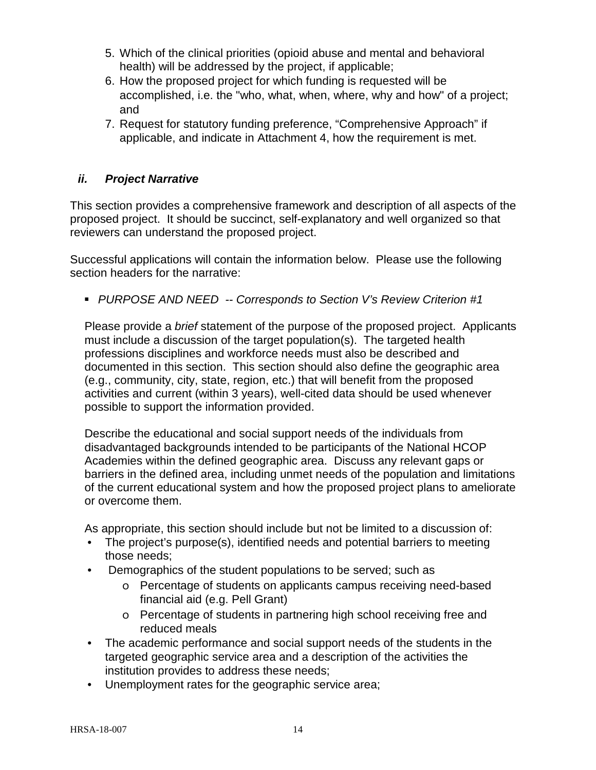- 5. Which of the clinical priorities (opioid abuse and mental and behavioral health) will be addressed by the project, if applicable;
- 6. How the proposed project for which funding is requested will be accomplished, i.e. the "who, what, when, where, why and how" of a project; and
- 7. Request for statutory funding preference, "Comprehensive Approach" if applicable, and indicate in Attachment 4, how the requirement is met.

#### <span id="page-18-0"></span>*ii. Project Narrative*

This section provides a comprehensive framework and description of all aspects of the proposed project. It should be succinct, self-explanatory and well organized so that reviewers can understand the proposed project.

Successful applications will contain the information below. Please use the following section headers for the narrative:

*PURPOSE AND NEED -- Corresponds to Section V's Review Criterion #1*

Please provide a *brief* statement of the purpose of the proposed project. Applicants must include a discussion of the target population(s). The targeted health professions disciplines and workforce needs must also be described and documented in this section. This section should also define the geographic area (e.g., community, city, state, region, etc.) that will benefit from the proposed activities and current (within 3 years), well-cited data should be used whenever possible to support the information provided.

Describe the educational and social support needs of the individuals from disadvantaged backgrounds intended to be participants of the National HCOP Academies within the defined geographic area. Discuss any relevant gaps or barriers in the defined area, including unmet needs of the population and limitations of the current educational system and how the proposed project plans to ameliorate or overcome them.

As appropriate, this section should include but not be limited to a discussion of:

- The project's purpose(s), identified needs and potential barriers to meeting those needs;
- Demographics of the student populations to be served; such as
	- o Percentage of students on applicants campus receiving need-based financial aid (e.g. Pell Grant)
	- o Percentage of students in partnering high school receiving free and reduced meals
- The academic performance and social support needs of the students in the targeted geographic service area and a description of the activities the institution provides to address these needs;
- Unemployment rates for the geographic service area;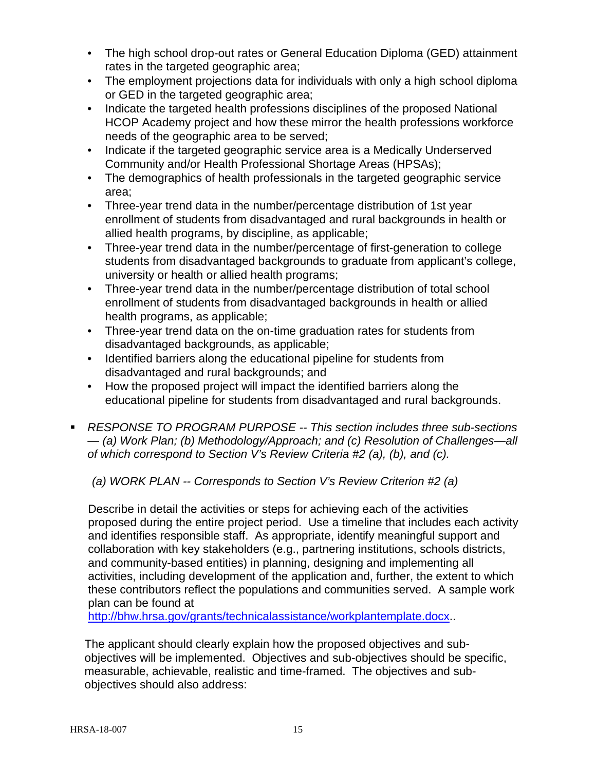- The high school drop-out rates or General Education Diploma (GED) attainment rates in the targeted geographic area;
- The employment projections data for individuals with only a high school diploma or GED in the targeted geographic area;
- Indicate the targeted health professions disciplines of the proposed National HCOP Academy project and how these mirror the health professions workforce needs of the geographic area to be served;
- Indicate if the targeted geographic service area is a Medically Underserved Community and/or Health Professional Shortage Areas (HPSAs);
- The demographics of health professionals in the targeted geographic service area;
- Three-year trend data in the number/percentage distribution of 1st year enrollment of students from disadvantaged and rural backgrounds in health or allied health programs, by discipline, as applicable;
- Three-year trend data in the number/percentage of first-generation to college students from disadvantaged backgrounds to graduate from applicant's college, university or health or allied health programs;
- Three-year trend data in the number/percentage distribution of total school enrollment of students from disadvantaged backgrounds in health or allied health programs, as applicable;
- Three-year trend data on the on-time graduation rates for students from disadvantaged backgrounds, as applicable;
- Identified barriers along the educational pipeline for students from disadvantaged and rural backgrounds; and
- How the proposed project will impact the identified barriers along the educational pipeline for students from disadvantaged and rural backgrounds.
- *RESPONSE TO PROGRAM PURPOSE -- This section includes three sub-sections — (a) Work Plan; (b) Methodology/Approach; and (c) Resolution of Challenges—all of which correspond to Section V's Review Criteria #2 (a), (b), and (c).*
	- *(a) WORK PLAN -- Corresponds to Section V's Review Criterion #2 (a)*

Describe in detail the activities or steps for achieving each of the activities proposed during the entire project period. Use a timeline that includes each activity and identifies responsible staff. As appropriate, identify meaningful support and collaboration with key stakeholders (e.g., partnering institutions, schools districts, and community-based entities) in planning, designing and implementing all activities, including development of the application and, further, the extent to which these contributors reflect the populations and communities served. A sample work plan can be found at

<http://bhw.hrsa.gov/grants/technicalassistance/workplantemplate.docx>[..](http://bhpr.hrsa.gov/grants/technicalassistance/workplantemplate.docx)

The applicant should clearly explain how the proposed objectives and subobjectives will be implemented. Objectives and sub-objectives should be specific, measurable, achievable, realistic and time-framed. The objectives and subobjectives should also address: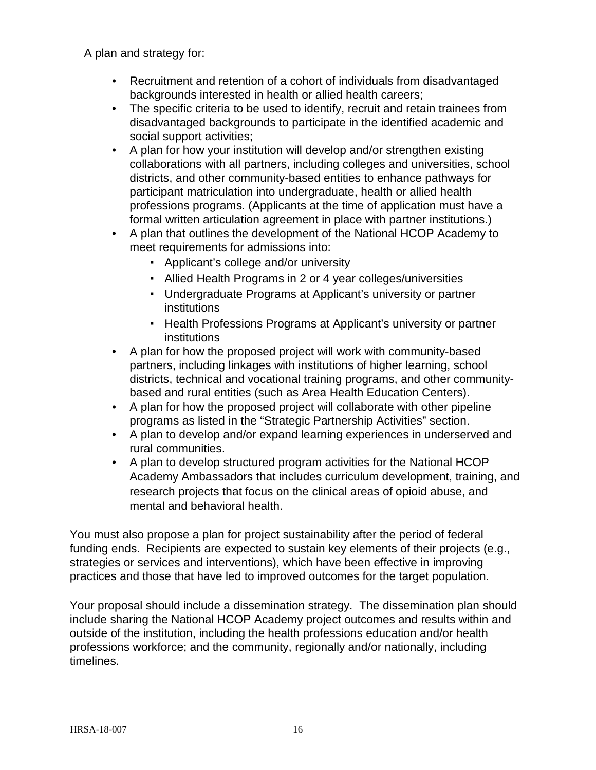A plan and strategy for:

- Recruitment and retention of a cohort of individuals from disadvantaged backgrounds interested in health or allied health careers;
- The specific criteria to be used to identify, recruit and retain trainees from disadvantaged backgrounds to participate in the identified academic and social support activities;
- A plan for how your institution will develop and/or strengthen existing collaborations with all partners, including colleges and universities, school districts, and other community-based entities to enhance pathways for participant matriculation into undergraduate, health or allied health professions programs. (Applicants at the time of application must have a formal written articulation agreement in place with partner institutions.)
- A plan that outlines the development of the National HCOP Academy to meet requirements for admissions into:
	- Applicant's college and/or university
	- Allied Health Programs in 2 or 4 year colleges/universities
	- Undergraduate Programs at Applicant's university or partner institutions
	- Health Professions Programs at Applicant's university or partner institutions
- A plan for how the proposed project will work with community-based partners, including linkages with institutions of higher learning, school districts, technical and vocational training programs, and other communitybased and rural entities (such as Area Health Education Centers).
- A plan for how the proposed project will collaborate with other pipeline programs as listed in the "Strategic Partnership Activities" section.
- A plan to develop and/or expand learning experiences in underserved and rural communities.
- A plan to develop structured program activities for the National HCOP Academy Ambassadors that includes curriculum development, training, and research projects that focus on the clinical areas of opioid abuse, and mental and behavioral health.

You must also propose a plan for project sustainability after the period of federal funding ends. Recipients are expected to sustain key elements of their projects (e.g., strategies or services and interventions), which have been effective in improving practices and those that have led to improved outcomes for the target population.

Your proposal should include a dissemination strategy. The dissemination plan should include sharing the National HCOP Academy project outcomes and results within and outside of the institution, including the health professions education and/or health professions workforce; and the community, regionally and/or nationally, including timelines.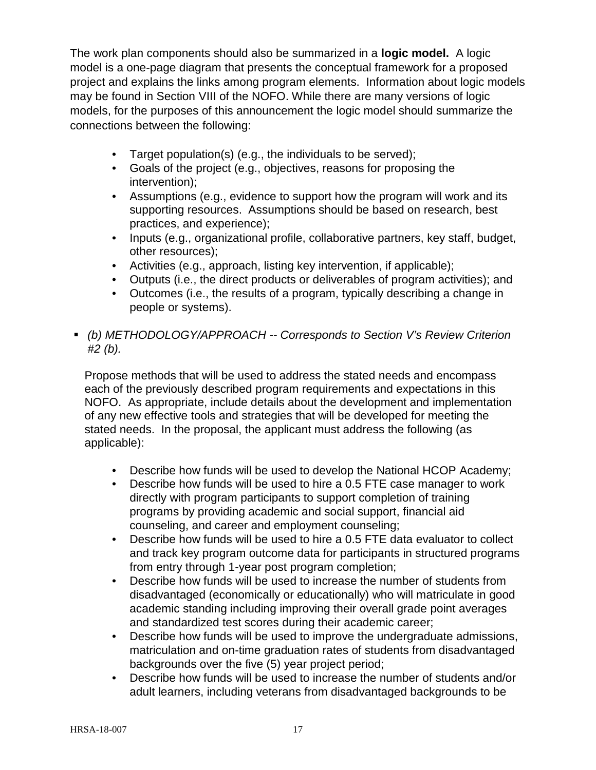The work plan components should also be summarized in a **logic model.** A logic model is a one-page diagram that presents the conceptual framework for a proposed project and explains the links among program elements. Information about logic models may be found in Section VIII of the NOFO. While there are many versions of logic models, for the purposes of this announcement the logic model should summarize the connections between the following:

- Target population(s) (e.g., the individuals to be served);
- Goals of the project (e.g., objectives, reasons for proposing the intervention);
- Assumptions (e.g., evidence to support how the program will work and its supporting resources. Assumptions should be based on research, best practices, and experience);
- Inputs (e.g., organizational profile, collaborative partners, key staff, budget, other resources);
- Activities (e.g., approach, listing key intervention, if applicable);
- Outputs (i.e., the direct products or deliverables of program activities); and
- Outcomes (i.e., the results of a program, typically describing a change in people or systems).
- *(b) METHODOLOGY/APPROACH -- Corresponds to Section V's Review Criterion #2 (b).*

Propose methods that will be used to address the stated needs and encompass each of the previously described program requirements and expectations in this NOFO. As appropriate, include details about the development and implementation of any new effective tools and strategies that will be developed for meeting the stated needs. In the proposal, the applicant must address the following (as applicable):

- Describe how funds will be used to develop the National HCOP Academy;
- Describe how funds will be used to hire a 0.5 FTE case manager to work directly with program participants to support completion of training programs by providing academic and social support, financial aid counseling, and career and employment counseling;
- Describe how funds will be used to hire a 0.5 FTE data evaluator to collect and track key program outcome data for participants in structured programs from entry through 1-year post program completion;
- Describe how funds will be used to increase the number of students from disadvantaged (economically or educationally) who will matriculate in good academic standing including improving their overall grade point averages and standardized test scores during their academic career;
- Describe how funds will be used to improve the undergraduate admissions, matriculation and on-time graduation rates of students from disadvantaged backgrounds over the five (5) year project period;
- Describe how funds will be used to increase the number of students and/or adult learners, including veterans from disadvantaged backgrounds to be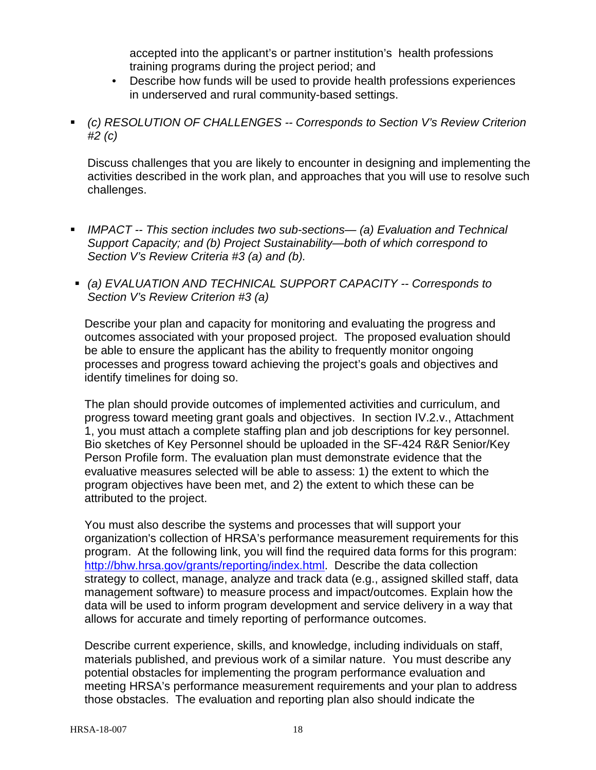accepted into the applicant's or partner institution's health professions training programs during the project period; and

- Describe how funds will be used to provide health professions experiences in underserved and rural community-based settings.
- *(c) RESOLUTION OF CHALLENGES -- Corresponds to Section V's Review Criterion #2 (c)*

Discuss challenges that you are likely to encounter in designing and implementing the activities described in the work plan, and approaches that you will use to resolve such challenges.

- *IMPACT -- This section includes two sub-sections— (a) Evaluation and Technical Support Capacity; and (b) Project Sustainability—both of which correspond to Section V's Review Criteria #3 (a) and (b).*
- *(a) EVALUATION AND TECHNICAL SUPPORT CAPACITY -- Corresponds to Section V's Review Criterion #3 (a)*

Describe your plan and capacity for monitoring and evaluating the progress and outcomes associated with your proposed project. The proposed evaluation should be able to ensure the applicant has the ability to frequently monitor ongoing processes and progress toward achieving the project's goals and objectives and identify timelines for doing so.

The plan should provide outcomes of implemented activities and curriculum, and progress toward meeting grant goals and objectives. In section IV.2.v., Attachment 1, you must attach a complete staffing plan and job descriptions for key personnel. Bio sketches of Key Personnel should be uploaded in the SF-424 R&R Senior/Key Person Profile form. The evaluation plan must demonstrate evidence that the evaluative measures selected will be able to assess: 1) the extent to which the program objectives have been met, and 2) the extent to which these can be attributed to the project.

You must also describe the systems and processes that will support your organization's collection of HRSA's performance measurement requirements for this program. At the following link, you will find the required data forms for this program: [http://bhw.hrsa.gov/grants/reporting/index.html.](http://bhw.hrsa.gov/grants/reporting/index.html) Describe the data collection strategy to collect, manage, analyze and track data (e.g., assigned skilled staff, data management software) to measure process and impact/outcomes. Explain how the data will be used to inform program development and service delivery in a way that allows for accurate and timely reporting of performance outcomes.

Describe current experience, skills, and knowledge, including individuals on staff, materials published, and previous work of a similar nature. You must describe any potential obstacles for implementing the program performance evaluation and meeting HRSA's performance measurement requirements and your plan to address those obstacles. The evaluation and reporting plan also should indicate the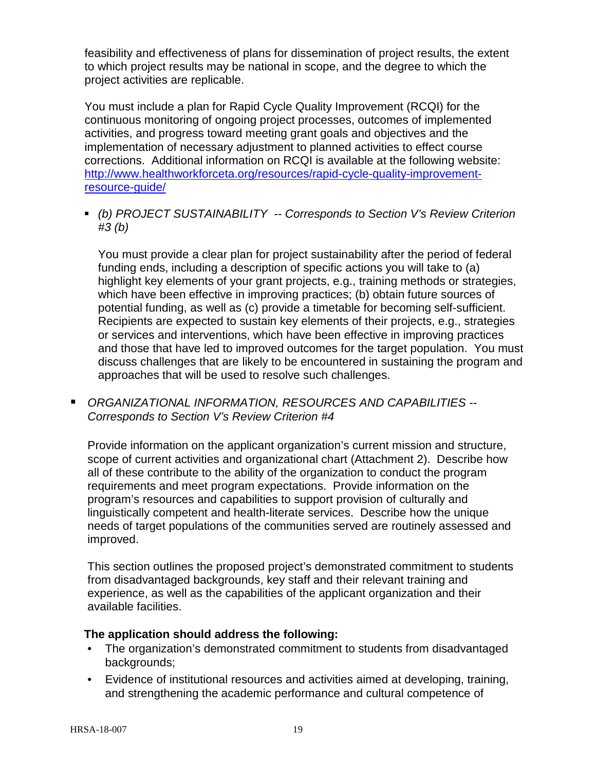feasibility and effectiveness of plans for dissemination of project results, the extent to which project results may be national in scope, and the degree to which the project activities are replicable.

You must include a plan for Rapid Cycle Quality Improvement (RCQI) for the continuous monitoring of ongoing project processes, outcomes of implemented activities, and progress toward meeting grant goals and objectives and the implementation of necessary adjustment to planned activities to effect course corrections. Additional information on RCQI is available at the following website: [http://www.healthworkforceta.org/resources/rapid-cycle-quality-improvement](http://www.healthworkforceta.org/resources/rapid-cycle-quality-improvement-resource-guide/)[resource-guide/](http://www.healthworkforceta.org/resources/rapid-cycle-quality-improvement-resource-guide/)

 *(b) PROJECT SUSTAINABILITY -- Corresponds to Section V's Review Criterion #3 (b)*

You must provide a clear plan for project sustainability after the period of federal funding ends, including a description of specific actions you will take to (a) highlight key elements of your grant projects, e.g., training methods or strategies, which have been effective in improving practices; (b) obtain future sources of potential funding, as well as (c) provide a timetable for becoming self-sufficient. Recipients are expected to sustain key elements of their projects, e.g., strategies or services and interventions, which have been effective in improving practices and those that have led to improved outcomes for the target population. You must discuss challenges that are likely to be encountered in sustaining the program and approaches that will be used to resolve such challenges.

 *ORGANIZATIONAL INFORMATION, RESOURCES AND CAPABILITIES -- Corresponds to Section V's Review Criterion #4*

Provide information on the applicant organization's current mission and structure, scope of current activities and organizational chart (Attachment 2). Describe how all of these contribute to the ability of the organization to conduct the program requirements and meet program expectations. Provide information on the program's resources and capabilities to support provision of culturally and linguistically competent and health-literate services. Describe how the unique needs of target populations of the communities served are routinely assessed and improved.

This section outlines the proposed project's demonstrated commitment to students from disadvantaged backgrounds, key staff and their relevant training and experience, as well as the capabilities of the applicant organization and their available facilities.

#### **The application should address the following:**

- The organization's demonstrated commitment to students from disadvantaged backgrounds;
- Evidence of institutional resources and activities aimed at developing, training, and strengthening the academic performance and cultural competence of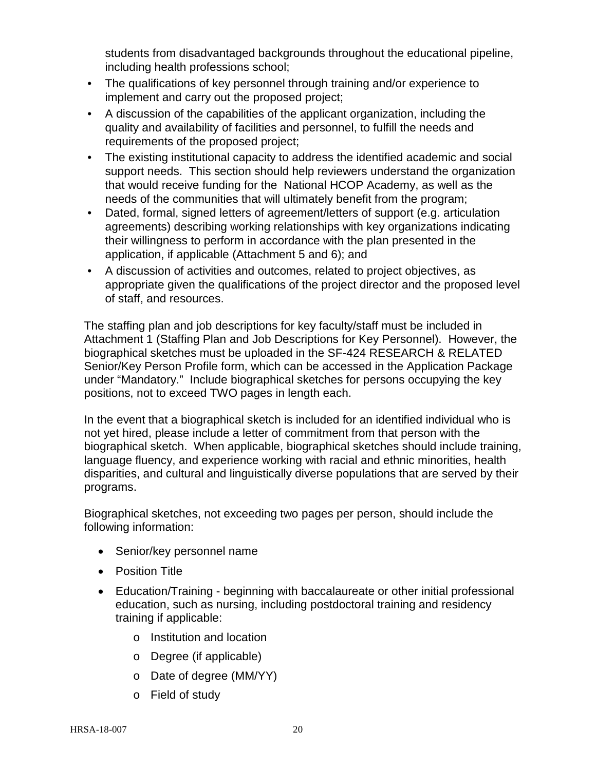students from disadvantaged backgrounds throughout the educational pipeline, including health professions school;

- The qualifications of key personnel through training and/or experience to implement and carry out the proposed project;
- A discussion of the capabilities of the applicant organization, including the quality and availability of facilities and personnel, to fulfill the needs and requirements of the proposed project;
- The existing institutional capacity to address the identified academic and social support needs. This section should help reviewers understand the organization that would receive funding for the National HCOP Academy, as well as the needs of the communities that will ultimately benefit from the program;
- Dated, formal, signed letters of agreement/letters of support (e.g. articulation agreements) describing working relationships with key organizations indicating their willingness to perform in accordance with the plan presented in the application, if applicable (Attachment 5 and 6); and
- A discussion of activities and outcomes, related to project objectives, as appropriate given the qualifications of the project director and the proposed level of staff, and resources.

The staffing plan and job descriptions for key faculty/staff must be included in Attachment 1 (Staffing Plan and Job Descriptions for Key Personnel). However, the biographical sketches must be uploaded in the SF-424 RESEARCH & RELATED Senior/Key Person Profile form, which can be accessed in the Application Package under "Mandatory." Include biographical sketches for persons occupying the key positions, not to exceed TWO pages in length each.

In the event that a biographical sketch is included for an identified individual who is not yet hired, please include a letter of commitment from that person with the biographical sketch. When applicable, biographical sketches should include training, language fluency, and experience working with racial and ethnic minorities, health disparities, and cultural and linguistically diverse populations that are served by their programs.

Biographical sketches, not exceeding two pages per person, should include the following information:

- Senior/key personnel name
- Position Title
- Education/Training beginning with baccalaureate or other initial professional education, such as nursing, including postdoctoral training and residency training if applicable:
	- o Institution and location
	- o Degree (if applicable)
	- o Date of degree (MM/YY)
	- o Field of study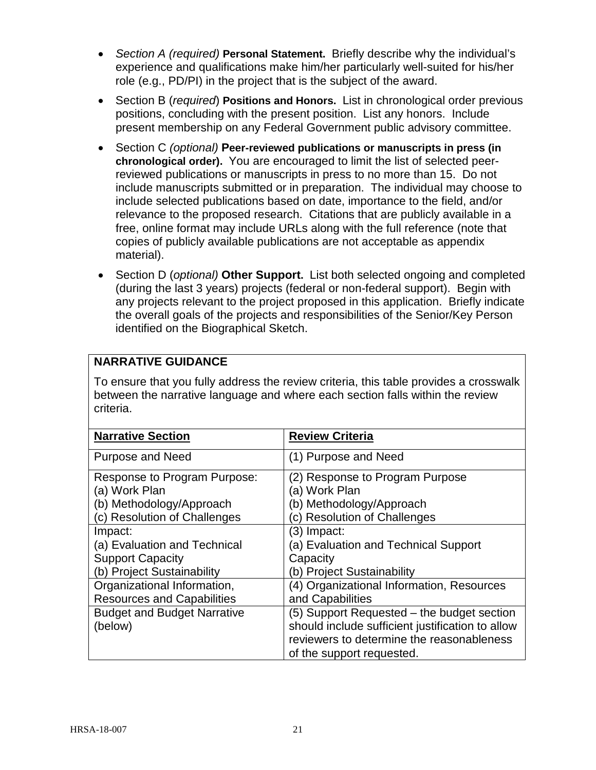- *Section A (required)* **Personal Statement.** Briefly describe why the individual's experience and qualifications make him/her particularly well-suited for his/her role (e.g., PD/PI) in the project that is the subject of the award.
- Section B (*required*) **Positions and Honors.** List in chronological order previous positions, concluding with the present position. List any honors. Include present membership on any Federal Government public advisory committee.
- Section C *(optional)* **Peer-reviewed publications or manuscripts in press (in chronological order).** You are encouraged to limit the list of selected peerreviewed publications or manuscripts in press to no more than 15. Do not include manuscripts submitted or in preparation. The individual may choose to include selected publications based on date, importance to the field, and/or relevance to the proposed research. Citations that are publicly available in a free, online format may include URLs along with the full reference (note that copies of publicly available publications are not acceptable as appendix material).
- Section D (*optional)* **Other Support.** List both selected ongoing and completed (during the last 3 years) projects (federal or non-federal support). Begin with any projects relevant to the project proposed in this application. Briefly indicate the overall goals of the projects and responsibilities of the Senior/Key Person identified on the Biographical Sketch.

## **NARRATIVE GUIDANCE**

To ensure that you fully address the review criteria, this table provides a crosswalk between the narrative language and where each section falls within the review criteria.

| <b>Narrative Section</b>           | <b>Review Criteria</b>                           |
|------------------------------------|--------------------------------------------------|
| <b>Purpose and Need</b>            | (1) Purpose and Need                             |
| Response to Program Purpose:       | (2) Response to Program Purpose                  |
| (a) Work Plan                      | (a) Work Plan                                    |
| (b) Methodology/Approach           | (b) Methodology/Approach                         |
| (c) Resolution of Challenges       | (c) Resolution of Challenges                     |
| Impact:                            | (3) Impact:                                      |
| (a) Evaluation and Technical       | (a) Evaluation and Technical Support             |
| <b>Support Capacity</b>            | Capacity                                         |
| (b) Project Sustainability         | (b) Project Sustainability                       |
| Organizational Information,        | (4) Organizational Information, Resources        |
| <b>Resources and Capabilities</b>  | and Capabilities                                 |
| <b>Budget and Budget Narrative</b> | (5) Support Requested – the budget section       |
| (below)                            | should include sufficient justification to allow |
|                                    | reviewers to determine the reasonableness        |
|                                    | of the support requested.                        |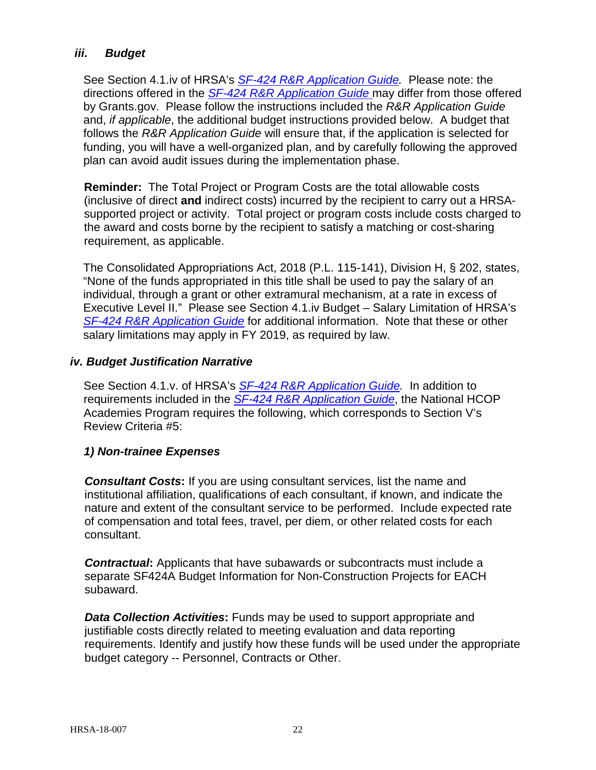#### <span id="page-26-0"></span>*iii. Budget*

See Section 4.1.iv of HRSA's *SF-424 R&R [Application Guide.](http://www.hrsa.gov/grants/apply/applicationguide/sf424rrguidev2.pdf)* Please note: the directions offered in the *SF-424 R&R [Application Guide](http://www.hrsa.gov/grants/apply/applicationguide/sf424rrguidev2.pdf)* may differ from those offered by Grants.gov. Please follow the instructions included the *R&R Application Guide*  and, *if applicable*, the additional budget instructions provided below. A budget that follows the *R&R Application Guide* will ensure that, if the application is selected for funding, you will have a well-organized plan, and by carefully following the approved plan can avoid audit issues during the implementation phase.

**Reminder:** The Total Project or Program Costs are the total allowable costs (inclusive of direct **and** indirect costs) incurred by the recipient to carry out a HRSAsupported project or activity. Total project or program costs include costs charged to the award and costs borne by the recipient to satisfy a matching or cost-sharing requirement, as applicable.

The Consolidated Appropriations Act, 2018 (P.L. 115-141), Division H, § 202, states, "None of the funds appropriated in this title shall be used to pay the salary of an individual, through a grant or other extramural mechanism, at a rate in excess of Executive Level II." Please see Section 4.1.iv Budget – Salary Limitation of HRSA's *SF-424 R&R [Application Guide](http://www.hrsa.gov/grants/apply/applicationguide/sf424rrguidev2.pdf)* for additional information. Note that these or other salary limitations may apply in FY 2019, as required by law.

#### <span id="page-26-1"></span>*iv. Budget Justification Narrative*

See Section 4.1.v. of HRSA's *SF-424 R&R [Application Guide.](http://www.hrsa.gov/grants/apply/applicationguide/sf424rrguidev2.pdf)* In addition to requirements included in the *SF-424 R&R [Application Guide](http://www.hrsa.gov/grants/apply/applicationguide/sf424rrguidev2.pdf)*, the National HCOP Academies Program requires the following, which corresponds to Section V's Review Criteria #5:

#### *1) Non-trainee Expenses*

*Consultant Costs***:** If you are using consultant services, list the name and institutional affiliation, qualifications of each consultant, if known, and indicate the nature and extent of the consultant service to be performed. Include expected rate of compensation and total fees, travel, per diem, or other related costs for each consultant.

*Contractual***:** Applicants that have subawards or subcontracts must include a separate SF424A Budget Information for Non-Construction Projects for EACH subaward.

*Data Collection Activities***:** Funds may be used to support appropriate and justifiable costs directly related to meeting evaluation and data reporting requirements. Identify and justify how these funds will be used under the appropriate budget category -- Personnel, Contracts or Other.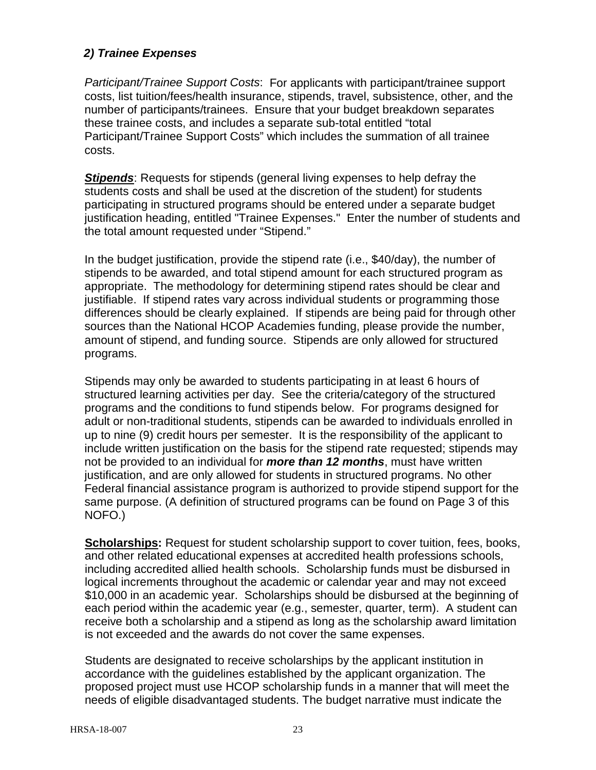#### *2) Trainee Expenses*

*Participant/Trainee Support Costs*: For applicants with participant/trainee support costs, list tuition/fees/health insurance, stipends, travel, subsistence, other, and the number of participants/trainees. Ensure that your budget breakdown separates these trainee costs, and includes a separate sub-total entitled "total Participant/Trainee Support Costs" which includes the summation of all trainee costs.

*Stipends*: Requests for stipends (general living expenses to help defray the students costs and shall be used at the discretion of the student) for students participating in structured programs should be entered under a separate budget justification heading, entitled "Trainee Expenses." Enter the number of students and the total amount requested under "Stipend."

In the budget justification, provide the stipend rate (i.e., \$40/day), the number of stipends to be awarded, and total stipend amount for each structured program as appropriate. The methodology for determining stipend rates should be clear and justifiable. If stipend rates vary across individual students or programming those differences should be clearly explained. If stipends are being paid for through other sources than the National HCOP Academies funding, please provide the number, amount of stipend, and funding source. Stipends are only allowed for structured programs.

Stipends may only be awarded to students participating in at least 6 hours of structured learning activities per day. See the criteria/category of the structured programs and the conditions to fund stipends below. For programs designed for adult or non-traditional students, stipends can be awarded to individuals enrolled in up to nine (9) credit hours per semester. It is the responsibility of the applicant to include written justification on the basis for the stipend rate requested; stipends may not be provided to an individual for *more than 12 months*, must have written justification, and are only allowed for students in structured programs. No other Federal financial assistance program is authorized to provide stipend support for the same purpose. (A definition of structured programs can be found on Page 3 of this NOFO.)

**Scholarships:** Request for student scholarship support to cover tuition, fees, books, and other related educational expenses at accredited health professions schools, including accredited allied health schools. Scholarship funds must be disbursed in logical increments throughout the academic or calendar year and may not exceed \$10,000 in an academic year. Scholarships should be disbursed at the beginning of each period within the academic year (e.g., semester, quarter, term). A student can receive both a scholarship and a stipend as long as the scholarship award limitation is not exceeded and the awards do not cover the same expenses.

Students are designated to receive scholarships by the applicant institution in accordance with the guidelines established by the applicant organization. The proposed project must use HCOP scholarship funds in a manner that will meet the needs of eligible disadvantaged students. The budget narrative must indicate the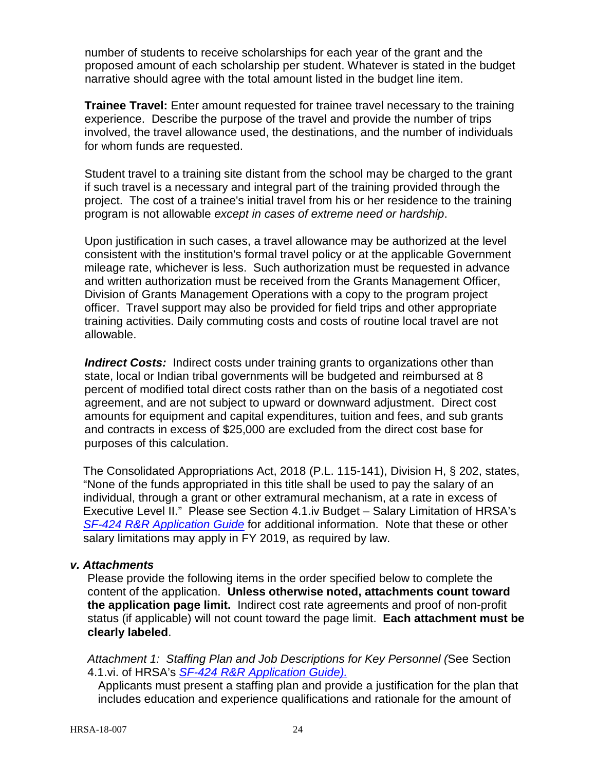number of students to receive scholarships for each year of the grant and the proposed amount of each scholarship per student. Whatever is stated in the budget narrative should agree with the total amount listed in the budget line item.

**Trainee Travel:** Enter amount requested for trainee travel necessary to the training experience. Describe the purpose of the travel and provide the number of trips involved, the travel allowance used, the destinations, and the number of individuals for whom funds are requested.

Student travel to a training site distant from the school may be charged to the grant if such travel is a necessary and integral part of the training provided through the project. The cost of a trainee's initial travel from his or her residence to the training program is not allowable *except in cases of extreme need or hardship*.

Upon justification in such cases, a travel allowance may be authorized at the level consistent with the institution's formal travel policy or at the applicable Government mileage rate, whichever is less. Such authorization must be requested in advance and written authorization must be received from the Grants Management Officer, Division of Grants Management Operations with a copy to the program project officer. Travel support may also be provided for field trips and other appropriate training activities. Daily commuting costs and costs of routine local travel are not allowable.

*Indirect Costs:* Indirect costs under training grants to organizations other than state, local or Indian tribal governments will be budgeted and reimbursed at 8 percent of modified total direct costs rather than on the basis of a negotiated cost agreement, and are not subject to upward or downward adjustment. Direct cost amounts for equipment and capital expenditures, tuition and fees, and sub grants and contracts in excess of \$25,000 are excluded from the direct cost base for purposes of this calculation.

The Consolidated Appropriations Act, 2018 (P.L. 115-141), Division H, § 202, states, "None of the funds appropriated in this title shall be used to pay the salary of an individual, through a grant or other extramural mechanism, at a rate in excess of Executive Level II." Please see Section 4.1.iv Budget – Salary Limitation of HRSA's *SF-424 R&R [Application Guide](http://www.hrsa.gov/grants/apply/applicationguide/sf424rrguidev2.pdf)* for additional information. Note that these or other salary limitations may apply in FY 2019, as required by law.

#### <span id="page-28-0"></span>*v. Attachments*

Please provide the following items in the order specified below to complete the content of the application. **Unless otherwise noted, attachments count toward the application page limit.** Indirect cost rate agreements and proof of non-profit status (if applicable) will not count toward the page limit. **Each attachment must be clearly labeled**.

*Attachment 1: Staffing Plan and Job Descriptions for Key Personnel (*See Section 4.1.vi. of HRSA's *SF-424 R&R [Application Guide\)](http://www.hrsa.gov/grants/apply/applicationguide/sf424rrguidev2.pdf).*

Applicants must present a staffing plan and provide a justification for the plan that includes education and experience qualifications and rationale for the amount of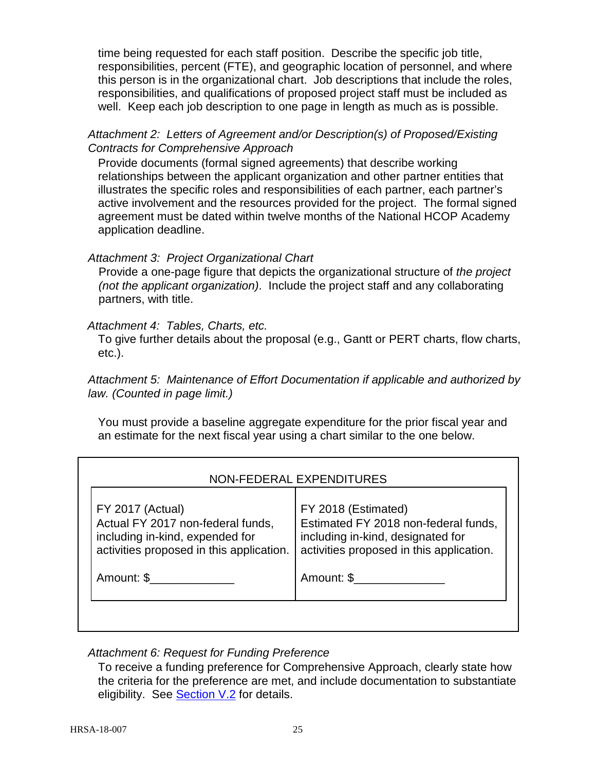time being requested for each staff position. Describe the specific job title, responsibilities, percent (FTE), and geographic location of personnel, and where this person is in the organizational chart. Job descriptions that include the roles, responsibilities, and qualifications of proposed project staff must be included as well. Keep each job description to one page in length as much as is possible.

#### *Attachment 2: Letters of Agreement and/or Description(s) of Proposed/Existing Contracts for Comprehensive Approach*

Provide documents (formal signed agreements) that describe working relationships between the applicant organization and other partner entities that illustrates the specific roles and responsibilities of each partner, each partner's active involvement and the resources provided for the project. The formal signed agreement must be dated within twelve months of the National HCOP Academy application deadline.

## *Attachment 3: Project Organizational Chart*

Provide a one-page figure that depicts the organizational structure of *the project (not the applicant organization)*. Include the project staff and any collaborating partners, with title.

#### *Attachment 4: Tables, Charts, etc.*

To give further details about the proposal (e.g., Gantt or PERT charts, flow charts, etc.).

*Attachment 5: Maintenance of Effort Documentation if applicable and authorized by law. (Counted in page limit.)* 

You must provide a baseline aggregate expenditure for the prior fiscal year and an estimate for the next fiscal year using a chart similar to the one below.

| NON-FEDERAL EXPENDITURES                                                                                                             |                                                                                                                                              |  |
|--------------------------------------------------------------------------------------------------------------------------------------|----------------------------------------------------------------------------------------------------------------------------------------------|--|
| FY 2017 (Actual)<br>Actual FY 2017 non-federal funds,<br>including in-kind, expended for<br>activities proposed in this application. | FY 2018 (Estimated)<br>Estimated FY 2018 non-federal funds,<br>including in-kind, designated for<br>activities proposed in this application. |  |
| Amount: \$                                                                                                                           | Amount: \$                                                                                                                                   |  |

## *Attachment 6: Request for Funding Preference*

To receive a funding preference for Comprehensive Approach, clearly state how the criteria for the preference are met, and include documentation to substantiate eligibility. See **Section V.2** for details.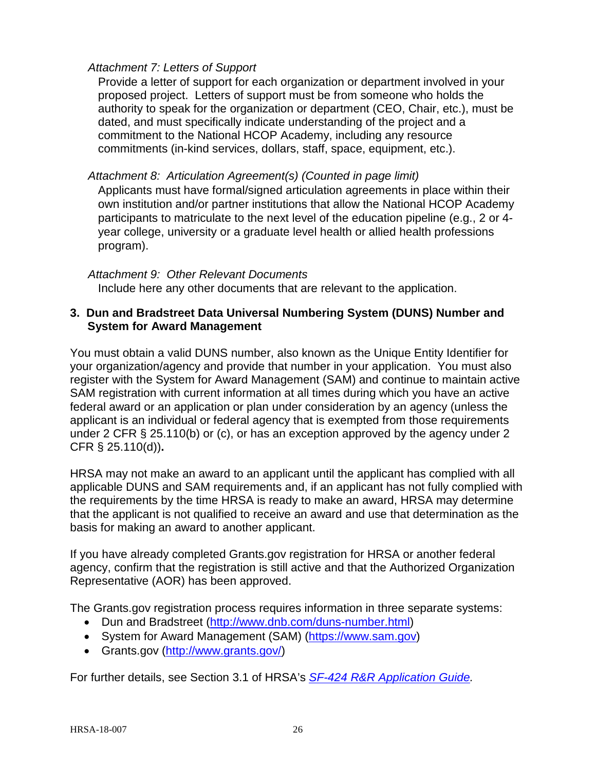#### *Attachment 7: Letters of Support*

Provide a letter of support for each organization or department involved in your proposed project. Letters of support must be from someone who holds the authority to speak for the organization or department (CEO, Chair, etc.), must be dated, and must specifically indicate understanding of the project and a commitment to the National HCOP Academy, including any resource commitments (in-kind services, dollars, staff, space, equipment, etc.).

#### *Attachment 8: Articulation Agreement(s) (Counted in page limit)*

Applicants must have formal/signed articulation agreements in place within their own institution and/or partner institutions that allow the National HCOP Academy participants to matriculate to the next level of the education pipeline (e.g., 2 or 4 year college, university or a graduate level health or allied health professions program).

#### *Attachment 9: Other Relevant Documents*

Include here any other documents that are relevant to the application.

#### <span id="page-30-0"></span>**3. Dun and Bradstreet Data Universal Numbering System (DUNS) Number and System for Award Management**

You must obtain a valid DUNS number, also known as the Unique Entity Identifier for your organization/agency and provide that number in your application. You must also register with the System for Award Management (SAM) and continue to maintain active SAM registration with current information at all times during which you have an active federal award or an application or plan under consideration by an agency (unless the applicant is an individual or federal agency that is exempted from those requirements under 2 CFR § 25.110(b) or (c), or has an exception approved by the agency under 2 CFR § 25.110(d))**.**

HRSA may not make an award to an applicant until the applicant has complied with all applicable DUNS and SAM requirements and, if an applicant has not fully complied with the requirements by the time HRSA is ready to make an award, HRSA may determine that the applicant is not qualified to receive an award and use that determination as the basis for making an award to another applicant.

If you have already completed Grants.gov registration for HRSA or another federal agency, confirm that the registration is still active and that the Authorized Organization Representative (AOR) has been approved.

The Grants.gov registration process requires information in three separate systems:

- Dun and Bradstreet [\(http://www.dnb.com/duns-number.html\)](http://www.dnb.com/duns-number.html)
- System for Award Management (SAM) [\(https://www.sam.gov\)](https://www.sam.gov/)
- Grants.gov [\(http://www.grants.gov/\)](http://www.grants.gov/)

For further details, see Section 3.1 of HRSA's *SF-424 R&R [Application Guide.](http://www.hrsa.gov/grants/apply/applicationguide/sf424rrguidev2.pdf)*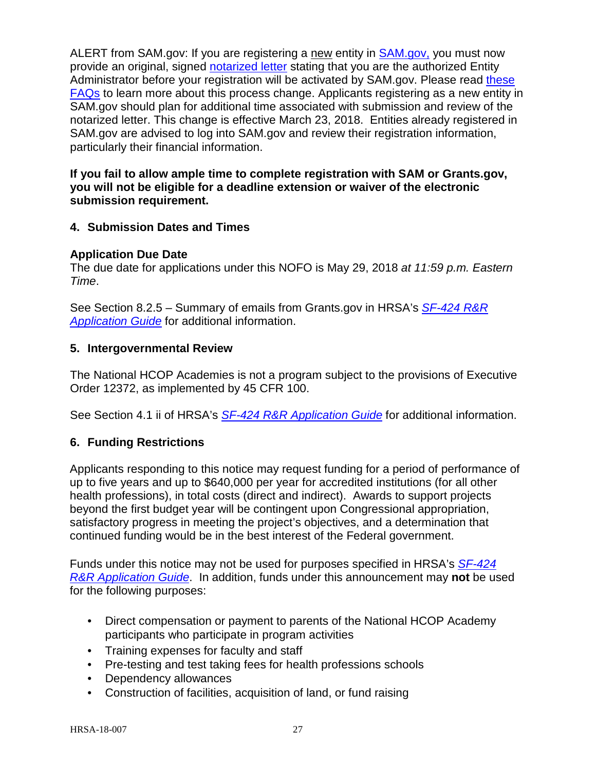ALERT from SAM.gov: If you are registering a new entity in [SAM.gov,](https://www.sam.gov/portal/SAM/) you must now provide an original, signed [notarized letter](https://www.fsd.gov/fsd-gov/answer.do?sysparm_kbid=d2e67885db0d5f00b3257d321f96194b&sysparm_search=kb0013183) stating that you are the authorized Entity Administrator before your registration will be activated by SAM.gov. Please read these [FAQs](https://www.gsa.gov/about-us/organization/federal-acquisition-service/office-of-systems-management/integrated-award-environment-iae/sam-update) to learn more about this process change. Applicants registering as a new entity in SAM.gov should plan for additional time associated with submission and review of the notarized letter. This change is effective March 23, 2018. Entities already registered in SAM.gov are advised to log into SAM.gov and review their registration information, particularly their financial information.

#### **If you fail to allow ample time to complete registration with SAM or Grants.gov, you will not be eligible for a deadline extension or waiver of the electronic submission requirement.**

#### <span id="page-31-0"></span>**4. Submission Dates and Times**

#### **Application Due Date**

The due date for applications under this NOFO is May 29, 2018 *at 11:59 p.m. Eastern Time*.

See Section 8.2.5 – Summary of emails from Grants.gov in HRSA's *[SF-424](http://www.hrsa.gov/grants/apply/applicationguide/sf424rrguidev2.pdf) R&R [Application Guide](http://www.hrsa.gov/grants/apply/applicationguide/sf424rrguidev2.pdf)* for additional information.

#### <span id="page-31-1"></span>**5. Intergovernmental Review**

The National HCOP Academies is not a program subject to the provisions of Executive Order 12372, as implemented by 45 CFR 100.

See Section 4.1 ii of HRSA's *SF-424 R&R [Application Guide](http://www.hrsa.gov/grants/apply/applicationguide/sf424rrguidev2.pdf)* for additional information.

#### <span id="page-31-2"></span>**6. Funding Restrictions**

Applicants responding to this notice may request funding for a period of performance of up to five years and up to \$640,000 per year for accredited institutions (for all other health professions), in total costs (direct and indirect). Awards to support projects beyond the first budget year will be contingent upon Congressional appropriation, satisfactory progress in meeting the project's objectives, and a determination that continued funding would be in the best interest of the Federal government.

Funds under this notice may not be used for purposes specified in HRSA's *[SF-424](http://www.hrsa.gov/grants/apply/applicationguide/sf424rrguidev2.pdf) R&R [Application Guide](http://www.hrsa.gov/grants/apply/applicationguide/sf424rrguidev2.pdf)*[.](http://www.hrsa.gov/grants/apply/applicationguide/sf424guide.pdf) In addition, funds under this announcement may **not** be used for the following purposes:

- Direct compensation or payment to parents of the National HCOP Academy participants who participate in program activities
- Training expenses for faculty and staff
- Pre-testing and test taking fees for health professions schools
- Dependency allowances
- Construction of facilities, acquisition of land, or fund raising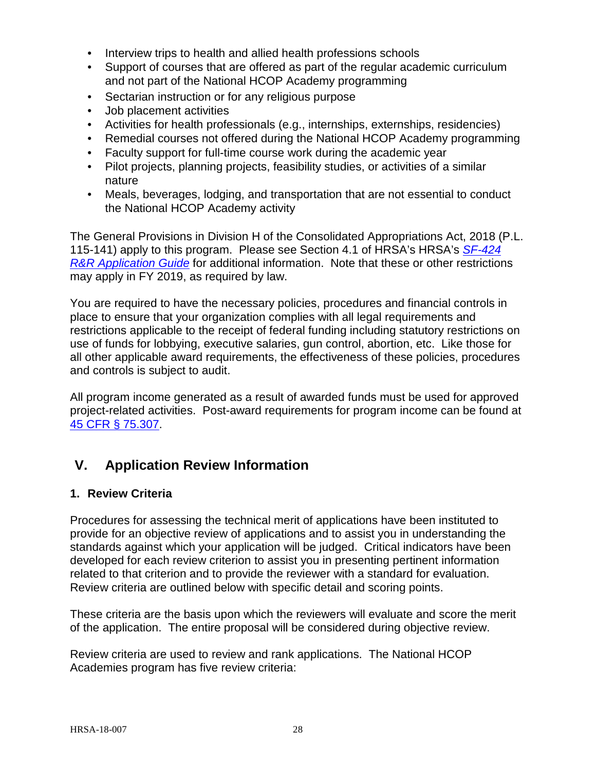- Interview trips to health and allied health professions schools
- Support of courses that are offered as part of the regular academic curriculum and not part of the National HCOP Academy programming
- Sectarian instruction or for any religious purpose
- Job placement activities
- Activities for health professionals (e.g., internships, externships, residencies)
- Remedial courses not offered during the National HCOP Academy programming
- Faculty support for full-time course work during the academic year
- Pilot projects, planning projects, feasibility studies, or activities of a similar nature
- Meals, beverages, lodging, and transportation that are not essential to conduct the National HCOP Academy activity

The General Provisions in Division H of the Consolidated Appropriations Act, 2018 (P.L. 115-141) apply to this program. Please see Section 4.1 of HRSA's HRSA's *[SF-424](http://www.hrsa.gov/grants/apply/applicationguide/sf424rrguidev2.pdf) R&R [Application Guide](http://www.hrsa.gov/grants/apply/applicationguide/sf424rrguidev2.pdf)* for additional information. Note that these or other restrictions may apply in FY 2019, as required by law.

You are required to have the necessary policies, procedures and financial controls in place to ensure that your organization complies with all legal requirements and restrictions applicable to the receipt of federal funding including statutory restrictions on use of funds for lobbying, executive salaries, gun control, abortion, etc. Like those for all other applicable award requirements, the effectiveness of these policies, procedures and controls is subject to audit.

All program income generated as a result of awarded funds must be used for approved project-related activities. Post-award requirements for program income can be found at [45 CFR § 75.307.](http://www.ecfr.gov/cgi-bin/retrieveECFR?gp=1&SID=4d52364ec83fab994c665943dadf9cf7&ty=HTML&h=L&r=PART&n=pt45.1.75#se45.1.75_1307)

## <span id="page-32-0"></span>**V. Application Review Information**

#### <span id="page-32-1"></span>**1. Review Criteria**

Procedures for assessing the technical merit of applications have been instituted to provide for an objective review of applications and to assist you in understanding the standards against which your application will be judged. Critical indicators have been developed for each review criterion to assist you in presenting pertinent information related to that criterion and to provide the reviewer with a standard for evaluation. Review criteria are outlined below with specific detail and scoring points.

These criteria are the basis upon which the reviewers will evaluate and score the merit of the application. The entire proposal will be considered during objective review.

Review criteria are used to review and rank applications. The National HCOP Academies program has five review criteria: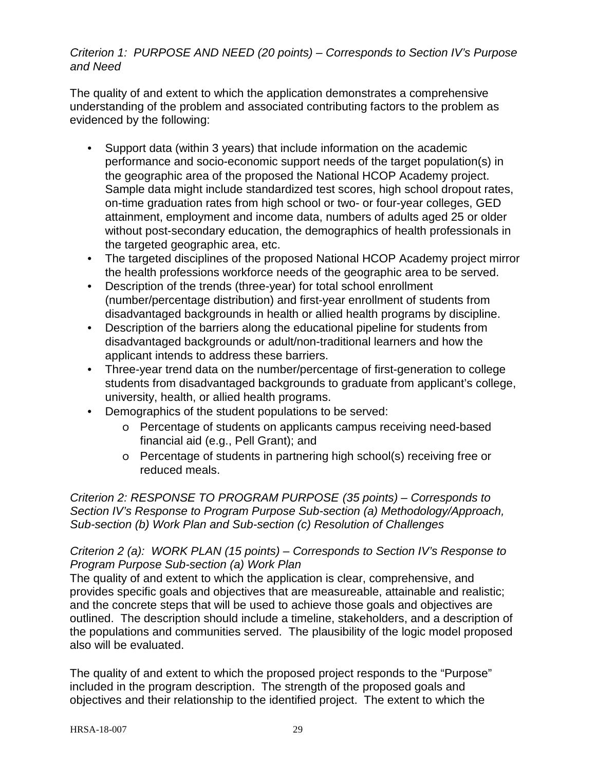#### *Criterion 1: PURPOSE AND NEED (20 points) – Corresponds to Section IV's Purpose and Need*

The quality of and extent to which the application demonstrates a comprehensive understanding of the problem and associated contributing factors to the problem as evidenced by the following:

- Support data (within 3 years) that include information on the academic performance and socio-economic support needs of the target population(s) in the geographic area of the proposed the National HCOP Academy project. Sample data might include standardized test scores, high school dropout rates, on-time graduation rates from high school or two- or four-year colleges, GED attainment, employment and income data, numbers of adults aged 25 or older without post-secondary education, the demographics of health professionals in the targeted geographic area, etc.
- The targeted disciplines of the proposed National HCOP Academy project mirror the health professions workforce needs of the geographic area to be served.
- Description of the trends (three-year) for total school enrollment (number/percentage distribution) and first-year enrollment of students from disadvantaged backgrounds in health or allied health programs by discipline.
- Description of the barriers along the educational pipeline for students from disadvantaged backgrounds or adult/non-traditional learners and how the applicant intends to address these barriers.
- Three-year trend data on the number/percentage of first-generation to college students from disadvantaged backgrounds to graduate from applicant's college, university, health, or allied health programs.
- Demographics of the student populations to be served:
	- o Percentage of students on applicants campus receiving need-based financial aid (e.g., Pell Grant); and
	- o Percentage of students in partnering high school(s) receiving free or reduced meals.

*Criterion 2: RESPONSE TO PROGRAM PURPOSE (35 points) – Corresponds to Section IV's Response to Program Purpose Sub-section (a) Methodology/Approach, Sub-section (b) Work Plan and Sub-section (c) Resolution of Challenges*

#### *Criterion 2 (a): WORK PLAN (15 points) – Corresponds to Section IV's Response to Program Purpose Sub-section (a) Work Plan*

The quality of and extent to which the application is clear, comprehensive, and provides specific goals and objectives that are measureable, attainable and realistic; and the concrete steps that will be used to achieve those goals and objectives are outlined. The description should include a timeline, stakeholders, and a description of the populations and communities served. The plausibility of the logic model proposed also will be evaluated.

The quality of and extent to which the proposed project responds to the "Purpose" included in the program description. The strength of the proposed goals and objectives and their relationship to the identified project. The extent to which the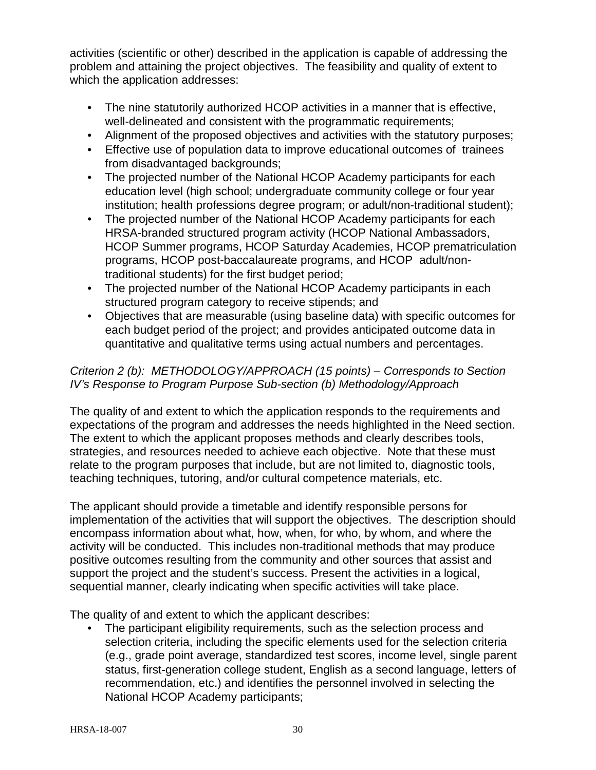activities (scientific or other) described in the application is capable of addressing the problem and attaining the project objectives. The feasibility and quality of extent to which the application addresses:

- The nine statutorily authorized HCOP activities in a manner that is effective, well-delineated and consistent with the programmatic requirements;
- Alignment of the proposed objectives and activities with the statutory purposes;
- Effective use of population data to improve educational outcomes of trainees from disadvantaged backgrounds;
- The projected number of the National HCOP Academy participants for each education level (high school; undergraduate community college or four year institution; health professions degree program; or adult/non-traditional student);
- The projected number of the National HCOP Academy participants for each HRSA-branded structured program activity (HCOP National Ambassadors, HCOP Summer programs, HCOP Saturday Academies, HCOP prematriculation programs, HCOP post-baccalaureate programs, and HCOP adult/nontraditional students) for the first budget period;
- The projected number of the National HCOP Academy participants in each structured program category to receive stipends; and
- Objectives that are measurable (using baseline data) with specific outcomes for each budget period of the project; and provides anticipated outcome data in quantitative and qualitative terms using actual numbers and percentages.

## *Criterion 2 (b): METHODOLOGY/APPROACH (15 points) – Corresponds to Section IV's Response to Program Purpose Sub-section (b) Methodology/Approach*

The quality of and extent to which the application responds to the requirements and expectations of the program and addresses the needs highlighted in the Need section. The extent to which the applicant proposes methods and clearly describes tools, strategies, and resources needed to achieve each objective. Note that these must relate to the program purposes that include, but are not limited to, diagnostic tools, teaching techniques, tutoring, and/or cultural competence materials, etc.

The applicant should provide a timetable and identify responsible persons for implementation of the activities that will support the objectives. The description should encompass information about what, how, when, for who, by whom, and where the activity will be conducted. This includes non-traditional methods that may produce positive outcomes resulting from the community and other sources that assist and support the project and the student's success. Present the activities in a logical, sequential manner, clearly indicating when specific activities will take place.

The quality of and extent to which the applicant describes:

The participant eligibility requirements, such as the selection process and selection criteria, including the specific elements used for the selection criteria (e.g., grade point average, standardized test scores, income level, single parent status, first-generation college student, English as a second language, letters of recommendation, etc.) and identifies the personnel involved in selecting the National HCOP Academy participants;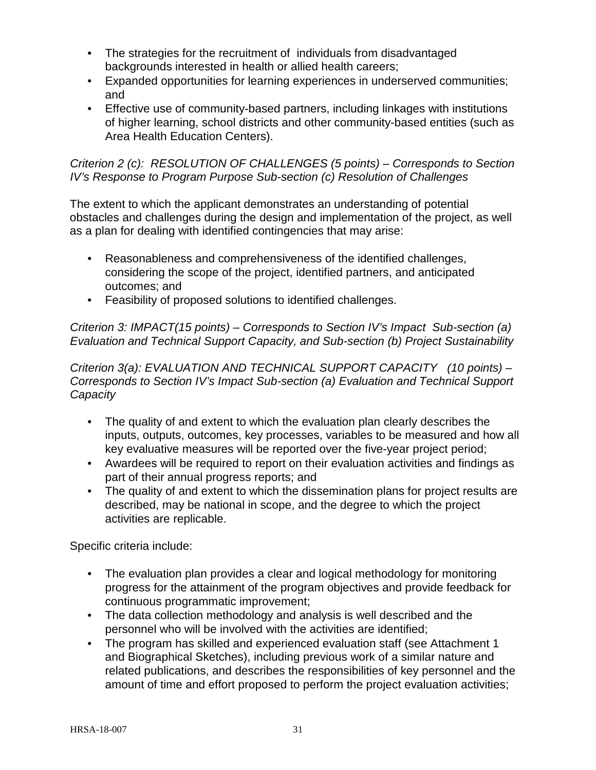- The strategies for the recruitment of individuals from disadvantaged backgrounds interested in health or allied health careers;
- Expanded opportunities for learning experiences in underserved communities; and
- Effective use of community-based partners, including linkages with institutions of higher learning, school districts and other community-based entities (such as Area Health Education Centers).

#### *Criterion 2 (c): RESOLUTION OF CHALLENGES (5 points) – Corresponds to Section IV's Response to Program Purpose Sub-section (c) Resolution of Challenges*

The extent to which the applicant demonstrates an understanding of potential obstacles and challenges during the design and implementation of the project, as well as a plan for dealing with identified contingencies that may arise:

- Reasonableness and comprehensiveness of the identified challenges, considering the scope of the project, identified partners, and anticipated outcomes; and
- Feasibility of proposed solutions to identified challenges.

*Criterion 3: IMPACT(15 points) – Corresponds to Section IV's Impact Sub-section (a) Evaluation and Technical Support Capacity, and Sub-section (b) Project Sustainability*

*Criterion 3(a): EVALUATION AND TECHNICAL SUPPORT CAPACITY (10 points) – Corresponds to Section IV's Impact Sub-section (a) Evaluation and Technical Support Capacity* 

- The quality of and extent to which the evaluation plan clearly describes the inputs, outputs, outcomes, key processes, variables to be measured and how all key evaluative measures will be reported over the five-year project period;
- Awardees will be required to report on their evaluation activities and findings as part of their annual progress reports; and
- The quality of and extent to which the dissemination plans for project results are described, may be national in scope, and the degree to which the project activities are replicable.

Specific criteria include:

- The evaluation plan provides a clear and logical methodology for monitoring progress for the attainment of the program objectives and provide feedback for continuous programmatic improvement;
- The data collection methodology and analysis is well described and the personnel who will be involved with the activities are identified;
- The program has skilled and experienced evaluation staff (see Attachment 1 and Biographical Sketches), including previous work of a similar nature and related publications, and describes the responsibilities of key personnel and the amount of time and effort proposed to perform the project evaluation activities;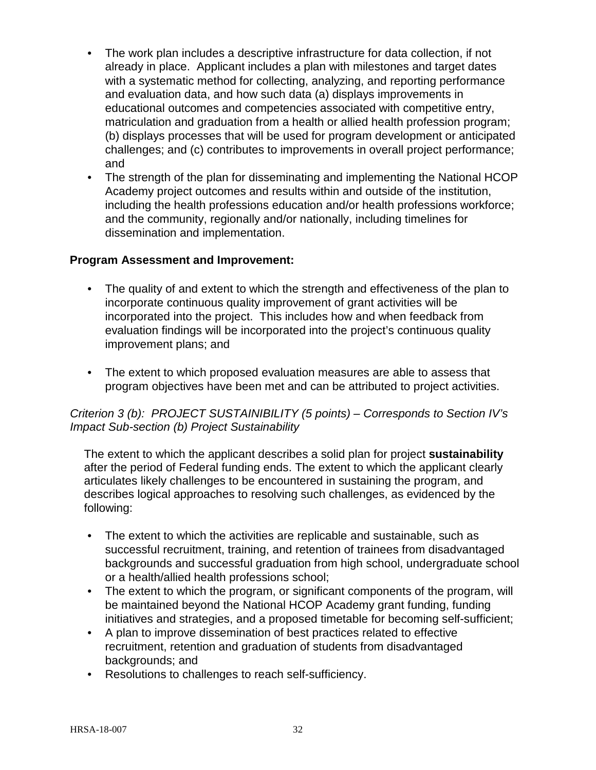- The work plan includes a descriptive infrastructure for data collection, if not already in place. Applicant includes a plan with milestones and target dates with a systematic method for collecting, analyzing, and reporting performance and evaluation data, and how such data (a) displays improvements in educational outcomes and competencies associated with competitive entry, matriculation and graduation from a health or allied health profession program; (b) displays processes that will be used for program development or anticipated challenges; and (c) contributes to improvements in overall project performance; and
- The strength of the plan for disseminating and implementing the National HCOP Academy project outcomes and results within and outside of the institution, including the health professions education and/or health professions workforce; and the community, regionally and/or nationally, including timelines for dissemination and implementation.

#### **Program Assessment and Improvement:**

- The quality of and extent to which the strength and effectiveness of the plan to incorporate continuous quality improvement of grant activities will be incorporated into the project. This includes how and when feedback from evaluation findings will be incorporated into the project's continuous quality improvement plans; and
- The extent to which proposed evaluation measures are able to assess that program objectives have been met and can be attributed to project activities.

#### *Criterion 3 (b): PROJECT SUSTAINIBILITY (5 points) – Corresponds to Section IV's Impact Sub-section (b) Project Sustainability*

The extent to which the applicant describes a solid plan for project **sustainability**  after the period of Federal funding ends. The extent to which the applicant clearly articulates likely challenges to be encountered in sustaining the program, and describes logical approaches to resolving such challenges, as evidenced by the following:

- The extent to which the activities are replicable and sustainable, such as successful recruitment, training, and retention of trainees from disadvantaged backgrounds and successful graduation from high school, undergraduate school or a health/allied health professions school;
- The extent to which the program, or significant components of the program, will be maintained beyond the National HCOP Academy grant funding, funding initiatives and strategies, and a proposed timetable for becoming self-sufficient;
- A plan to improve dissemination of best practices related to effective recruitment, retention and graduation of students from disadvantaged backgrounds; and
- Resolutions to challenges to reach self-sufficiency.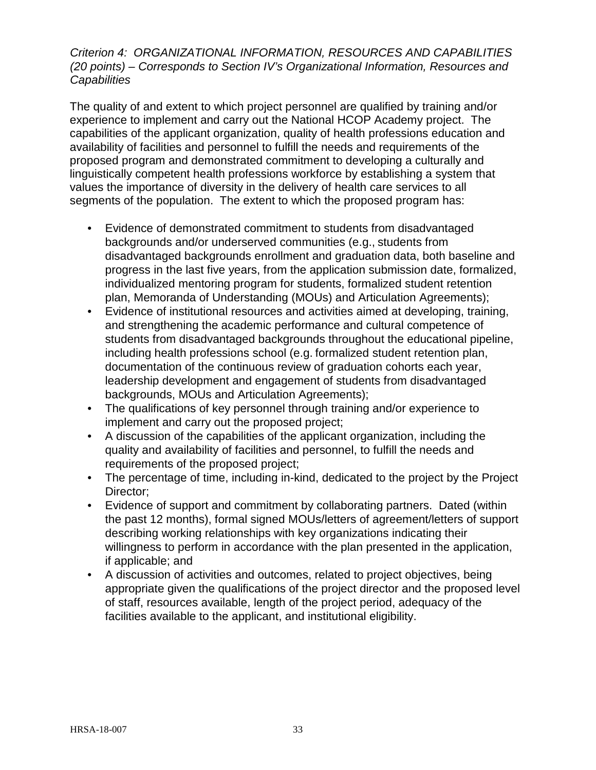#### *Criterion 4: ORGANIZATIONAL INFORMATION, RESOURCES AND CAPABILITIES (20 points) – Corresponds to Section IV's Organizational Information, Resources and Capabilities*

The quality of and extent to which project personnel are qualified by training and/or experience to implement and carry out the National HCOP Academy project. The capabilities of the applicant organization, quality of health professions education and availability of facilities and personnel to fulfill the needs and requirements of the proposed program and demonstrated commitment to developing a culturally and linguistically competent health professions workforce by establishing a system that values the importance of diversity in the delivery of health care services to all segments of the population. The extent to which the proposed program has:

- Evidence of demonstrated commitment to students from disadvantaged backgrounds and/or underserved communities (e.g., students from disadvantaged backgrounds enrollment and graduation data, both baseline and progress in the last five years, from the application submission date, formalized, individualized mentoring program for students, formalized student retention plan, Memoranda of Understanding (MOUs) and Articulation Agreements);
- Evidence of institutional resources and activities aimed at developing, training, and strengthening the academic performance and cultural competence of students from disadvantaged backgrounds throughout the educational pipeline, including health professions school (e.g. formalized student retention plan, documentation of the continuous review of graduation cohorts each year, leadership development and engagement of students from disadvantaged backgrounds, MOUs and Articulation Agreements);
- The qualifications of key personnel through training and/or experience to implement and carry out the proposed project;
- A discussion of the capabilities of the applicant organization, including the quality and availability of facilities and personnel, to fulfill the needs and requirements of the proposed project;
- The percentage of time, including in-kind, dedicated to the project by the Project Director;
- Evidence of support and commitment by collaborating partners. Dated (within the past 12 months), formal signed MOUs/letters of agreement/letters of support describing working relationships with key organizations indicating their willingness to perform in accordance with the plan presented in the application, if applicable; and
- A discussion of activities and outcomes, related to project objectives, being appropriate given the qualifications of the project director and the proposed level of staff, resources available, length of the project period, adequacy of the facilities available to the applicant, and institutional eligibility.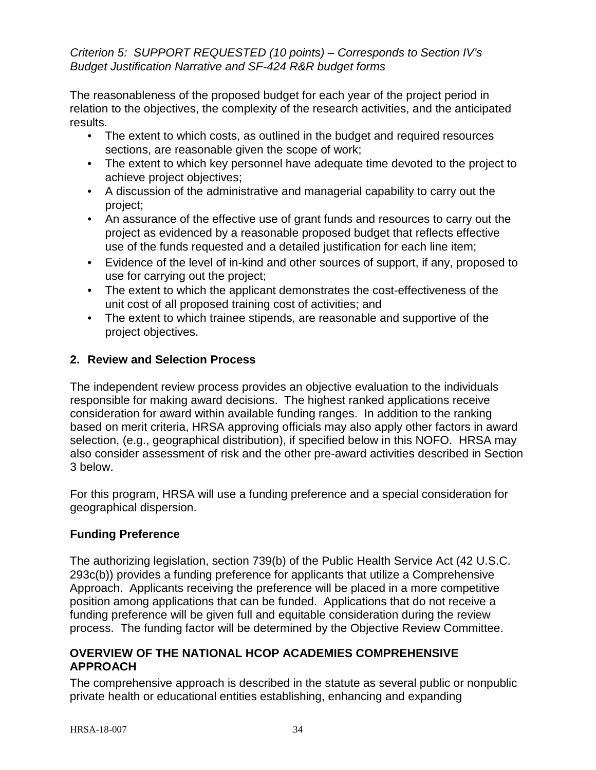#### *Criterion 5: SUPPORT REQUESTED (10 points) – Corresponds to Section IV's Budget Justification Narrative and SF-424 R&R budget forms*

The reasonableness of the proposed budget for each year of the project period in relation to the objectives, the complexity of the research activities, and the anticipated results.

- The extent to which costs, as outlined in the budget and required resources sections, are reasonable given the scope of work;
- The extent to which key personnel have adequate time devoted to the project to achieve project objectives;
- A discussion of the administrative and managerial capability to carry out the project;
- An assurance of the effective use of grant funds and resources to carry out the project as evidenced by a reasonable proposed budget that reflects effective use of the funds requested and a detailed justification for each line item;
- Evidence of the level of in-kind and other sources of support, if any, proposed to use for carrying out the project;
- The extent to which the applicant demonstrates the cost-effectiveness of the unit cost of all proposed training cost of activities; and
- The extent to which trainee stipends, are reasonable and supportive of the project objectives.

## <span id="page-38-0"></span>**2. Review and Selection Process**

The independent review process provides an objective evaluation to the individuals responsible for making award decisions. The highest ranked applications receive consideration for award within available funding ranges. In addition to the ranking based on merit criteria, HRSA approving officials may also apply other factors in award selection, (e.g., geographical distribution), if specified below in this NOFO. HRSA may also consider assessment of risk and the other pre-award activities described in Section 3 below.

For this program, HRSA will use a funding preference and a special consideration for geographical dispersion.

## **Funding Preference**

The authorizing legislation, section 739(b) of the Public Health Service Act (42 U.S.C. 293c(b)) provides a funding preference for applicants that utilize a Comprehensive Approach. Applicants receiving the preference will be placed in a more competitive position among applications that can be funded. Applications that do not receive a funding preference will be given full and equitable consideration during the review process. The funding factor will be determined by the Objective Review Committee.

## **OVERVIEW OF THE NATIONAL HCOP ACADEMIES COMPREHENSIVE APPROACH**

The comprehensive approach is described in the statute as several public or nonpublic private health or educational entities establishing, enhancing and expanding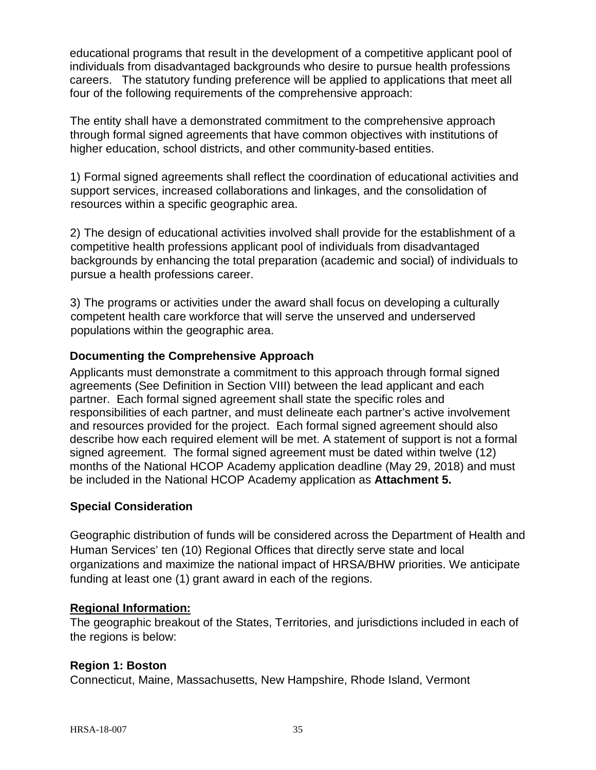educational programs that result in the development of a competitive applicant pool of individuals from disadvantaged backgrounds who desire to pursue health professions careers. The statutory funding preference will be applied to applications that meet all four of the following requirements of the comprehensive approach:

The entity shall have a demonstrated commitment to the comprehensive approach through formal signed agreements that have common objectives with institutions of higher education, school districts, and other community-based entities.

1) Formal signed agreements shall reflect the coordination of educational activities and support services, increased collaborations and linkages, and the consolidation of resources within a specific geographic area.

2) The design of educational activities involved shall provide for the establishment of a competitive health professions applicant pool of individuals from disadvantaged backgrounds by enhancing the total preparation (academic and social) of individuals to pursue a health professions career.

3) The programs or activities under the award shall focus on developing a culturally competent health care workforce that will serve the unserved and underserved populations within the geographic area.

## **Documenting the Comprehensive Approach**

Applicants must demonstrate a commitment to this approach through formal signed agreements (See Definition in Section VIII) between the lead applicant and each partner. Each formal signed agreement shall state the specific roles and responsibilities of each partner, and must delineate each partner's active involvement and resources provided for the project. Each formal signed agreement should also describe how each required element will be met. A statement of support is not a formal signed agreement. The formal signed agreement must be dated within twelve (12) months of the National HCOP Academy application deadline (May 29, 2018) and must be included in the National HCOP Academy application as **Attachment 5.**

#### **Special Consideration**

Geographic distribution of funds will be considered across the Department of Health and Human Services' ten (10) Regional Offices that directly serve state and local organizations and maximize the national impact of HRSA/BHW priorities. We anticipate funding at least one (1) grant award in each of the regions.

#### **Regional Information:**

The geographic breakout of the States, Territories, and jurisdictions included in each of the regions is below:

#### **Region 1: Boston**

Connecticut, Maine, Massachusetts, New Hampshire, Rhode Island, Vermont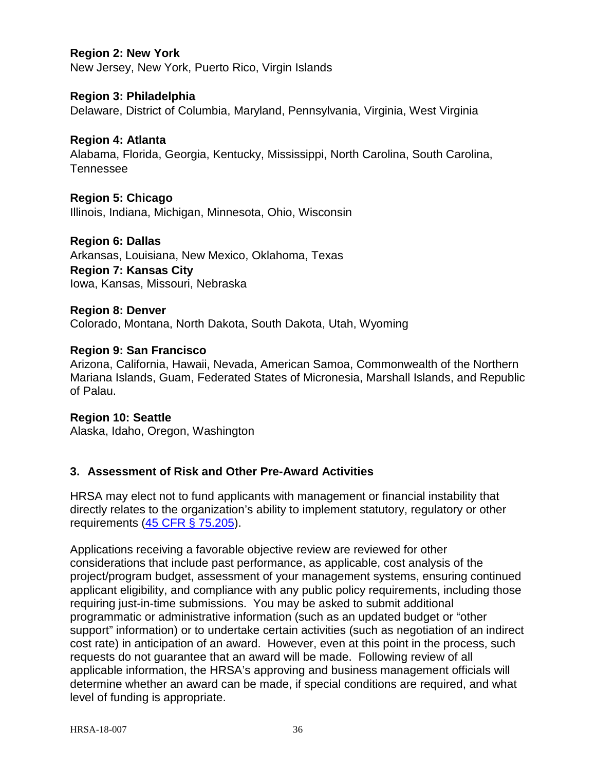#### **Region 2: New York**

New Jersey, New York, Puerto Rico, Virgin Islands

#### **Region 3: Philadelphia**

Delaware, District of Columbia, Maryland, Pennsylvania, Virginia, West Virginia

#### **Region 4: Atlanta**

Alabama, Florida, Georgia, Kentucky, Mississippi, North Carolina, South Carolina, Tennessee

#### **Region 5: Chicago**

Illinois, Indiana, Michigan, Minnesota, Ohio, Wisconsin

#### **Region 6: Dallas**

Arkansas, Louisiana, New Mexico, Oklahoma, Texas **Region 7: Kansas City** Iowa, Kansas, Missouri, Nebraska

#### **Region 8: Denver** Colorado, Montana, North Dakota, South Dakota, Utah, Wyoming

#### **Region 9: San Francisco**

Arizona, California, Hawaii, Nevada, American Samoa, Commonwealth of the Northern Mariana Islands, Guam, Federated States of Micronesia, Marshall Islands, and Republic of Palau.

## **Region 10: Seattle** Alaska, Idaho, Oregon, Washington

## <span id="page-40-0"></span>**3. Assessment of Risk and Other Pre-Award Activities**

HRSA may elect not to fund applicants with management or financial instability that directly relates to the organization's ability to implement statutory, regulatory or other requirements [\(45 CFR § 75.205\)](http://www.ecfr.gov/cgi-bin/retrieveECFR?gp=1&SID=4d52364ec83fab994c665943dadf9cf7&ty=HTML&h=L&r=PART&n=pt45.1.75#se45.1.75_1205).

Applications receiving a favorable objective review are reviewed for other considerations that include past performance, as applicable, cost analysis of the project/program budget, assessment of your management systems, ensuring continued applicant eligibility, and compliance with any public policy requirements, including those requiring just-in-time submissions. You may be asked to submit additional programmatic or administrative information (such as an updated budget or "other support" information) or to undertake certain activities (such as negotiation of an indirect cost rate) in anticipation of an award. However, even at this point in the process, such requests do not guarantee that an award will be made. Following review of all applicable information, the HRSA's approving and business management officials will determine whether an award can be made, if special conditions are required, and what level of funding is appropriate.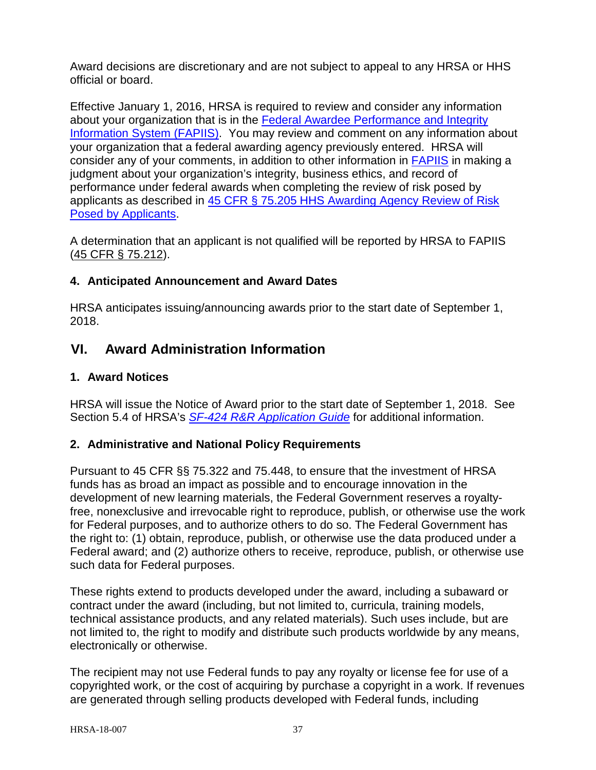Award decisions are discretionary and are not subject to appeal to any HRSA or HHS official or board.

Effective January 1, 2016, HRSA is required to review and consider any information about your organization that is in the [Federal Awardee Performance and Integrity](https://www.fapiis.gov/)  [Information System \(FAPIIS\).](https://www.fapiis.gov/) You may review and comment on any information about your organization that a federal awarding agency previously entered. HRSA will consider any of your comments, in addition to other information in [FAPIIS](https://www.fapiis.gov/) in making a judgment about your organization's integrity, business ethics, and record of performance under federal awards when completing the review of risk posed by applicants as described in [45 CFR § 75.205 HHS Awarding Agency Review of Risk](http://www.ecfr.gov/cgi-bin/text-idx?node=pt45.1.75)  [Posed by Applicants.](http://www.ecfr.gov/cgi-bin/text-idx?node=pt45.1.75)

A determination that an applicant is not qualified will be reported by HRSA to FAPIIS [\(45 CFR § 75.212\)](http://www.ecfr.gov/cgi-bin/text-idx?node=pt45.1.75).

## <span id="page-41-0"></span>**4. Anticipated Announcement and Award Dates**

HRSA anticipates issuing/announcing awards prior to the start date of September 1, 2018.

## <span id="page-41-1"></span>**VI. Award Administration Information**

#### <span id="page-41-2"></span>**1. Award Notices**

HRSA will issue the Notice of Award prior to the start date of September 1, 2018. See Section 5.4 of HRSA's *SF-424 [R&R Application Guide](http://www.hrsa.gov/grants/apply/applicationguide/sf424rrguidev2.pdf)* for additional information.

#### <span id="page-41-3"></span>**2. Administrative and National Policy Requirements**

Pursuant to 45 CFR §§ 75.322 and 75.448, to ensure that the investment of HRSA funds has as broad an impact as possible and to encourage innovation in the development of new learning materials, the Federal Government reserves a royaltyfree, nonexclusive and irrevocable right to reproduce, publish, or otherwise use the work for Federal purposes, and to authorize others to do so. The Federal Government has the right to: (1) obtain, reproduce, publish, or otherwise use the data produced under a Federal award; and (2) authorize others to receive, reproduce, publish, or otherwise use such data for Federal purposes.

These rights extend to products developed under the award, including a subaward or contract under the award (including, but not limited to, curricula, training models, technical assistance products, and any related materials). Such uses include, but are not limited to, the right to modify and distribute such products worldwide by any means, electronically or otherwise.

The recipient may not use Federal funds to pay any royalty or license fee for use of a copyrighted work, or the cost of acquiring by purchase a copyright in a work. If revenues are generated through selling products developed with Federal funds, including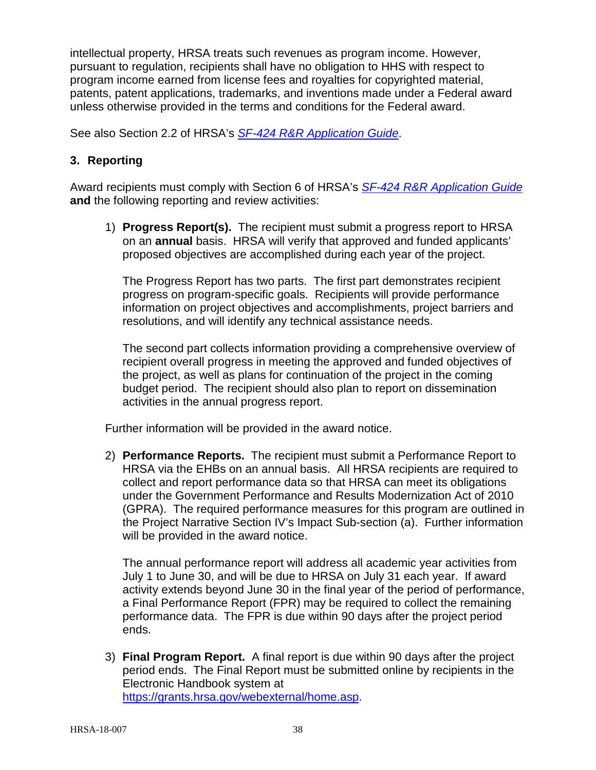intellectual property, HRSA treats such revenues as program income. However, pursuant to regulation, recipients shall have no obligation to HHS with respect to program income earned from license fees and royalties for copyrighted material, patents, patent applications, trademarks, and inventions made under a Federal award unless otherwise provided in the terms and conditions for the Federal award.

See also Section 2.2 of HRSA's *SF-424 [R&R Application Guide](http://www.hrsa.gov/grants/apply/applicationguide/sf424rrguidev2.pdf)*.

## <span id="page-42-0"></span>**3. Reporting**

Award recipients must comply with Section 6 of HRSA's *SF-424 [R&R Application Guide](http://www.hrsa.gov/grants/apply/applicationguide/sf424rrguidev2.pdf)* **and** the following reporting and review activities:

1) **Progress Report(s).** The recipient must submit a progress report to HRSA on an **annual** basis. HRSA will verify that approved and funded applicants' proposed objectives are accomplished during each year of the project.

The Progress Report has two parts. The first part demonstrates recipient progress on program-specific goals. Recipients will provide performance information on project objectives and accomplishments, project barriers and resolutions, and will identify any technical assistance needs.

The second part collects information providing a comprehensive overview of recipient overall progress in meeting the approved and funded objectives of the project, as well as plans for continuation of the project in the coming budget period. The recipient should also plan to report on dissemination activities in the annual progress report.

Further information will be provided in the award notice.

2) **Performance Reports.** The recipient must submit a Performance Report to HRSA via the EHBs on an annual basis. All HRSA recipients are required to collect and report performance data so that HRSA can meet its obligations under the Government Performance and Results Modernization Act of 2010 (GPRA). The required performance measures for this program are outlined in the Project Narrative Section IV's Impact Sub-section (a). Further information will be provided in the award notice.

The annual performance report will address all academic year activities from July 1 to June 30, and will be due to HRSA on July 31 each year. If award activity extends beyond June 30 in the final year of the period of performance, a Final Performance Report (FPR) may be required to collect the remaining performance data. The FPR is due within 90 days after the project period ends.

3) **Final Program Report.** A final report is due within 90 days after the project period ends. The Final Report must be submitted online by recipients in the Electronic Handbook system at [https://grants.hrsa.gov/webexternal/home.asp.](https://grants.hrsa.gov/webexternal/home.asp)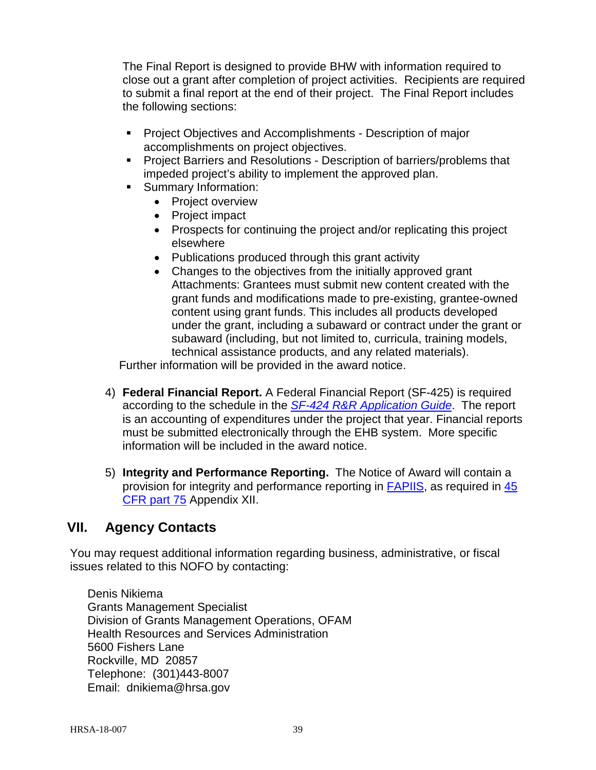The Final Report is designed to provide BHW with information required to close out a grant after completion of project activities. Recipients are required to submit a final report at the end of their project. The Final Report includes the following sections:

- **Project Objectives and Accomplishments Description of major** accomplishments on project objectives.
- **Project Barriers and Resolutions Description of barriers/problems that** impeded project's ability to implement the approved plan.
- **Summary Information:** 
	- Project overview
	- Project impact
	- Prospects for continuing the project and/or replicating this project elsewhere
	- Publications produced through this grant activity
	- Changes to the objectives from the initially approved grant Attachments: Grantees must submit new content created with the grant funds and modifications made to pre-existing, grantee-owned content using grant funds. This includes all products developed under the grant, including a subaward or contract under the grant or subaward (including, but not limited to, curricula, training models, technical assistance products, and any related materials).

Further information will be provided in the award notice.

- 4) **Federal Financial Report.** A Federal Financial Report (SF-425) is required according to the schedule in the *SF-424 [R&R Application Guide](http://www.hrsa.gov/grants/apply/applicationguide/sf424rrguidev2.pdf)*. The report is an accounting of expenditures under the project that year. Financial reports must be submitted electronically through the EHB system. More specific information will be included in the award notice.
- 5) **Integrity and Performance Reporting.** The Notice of Award will contain a provision for integrity and performance reporting in [FAPIIS,](https://www.fapiis.gov/) as required in [45](http://www.ecfr.gov/cgi-bin/retrieveECFR?gp=1&SID=4d52364ec83fab994c665943dadf9cf7&ty=HTML&h=L&r=PART&n=pt45.1.75%20-%20ap45.1.75_1521.xii)  [CFR part 75](http://www.ecfr.gov/cgi-bin/retrieveECFR?gp=1&SID=4d52364ec83fab994c665943dadf9cf7&ty=HTML&h=L&r=PART&n=pt45.1.75%20-%20ap45.1.75_1521.xii) Appendix XII.

## <span id="page-43-0"></span>**VII. Agency Contacts**

You may request additional information regarding business, administrative, or fiscal issues related to this NOFO by contacting:

Denis Nikiema Grants Management Specialist Division of Grants Management Operations, OFAM Health Resources and Services Administration 5600 Fishers Lane Rockville, MD 20857 Telephone: (301)443-8007 Email: dnikiema@hrsa.gov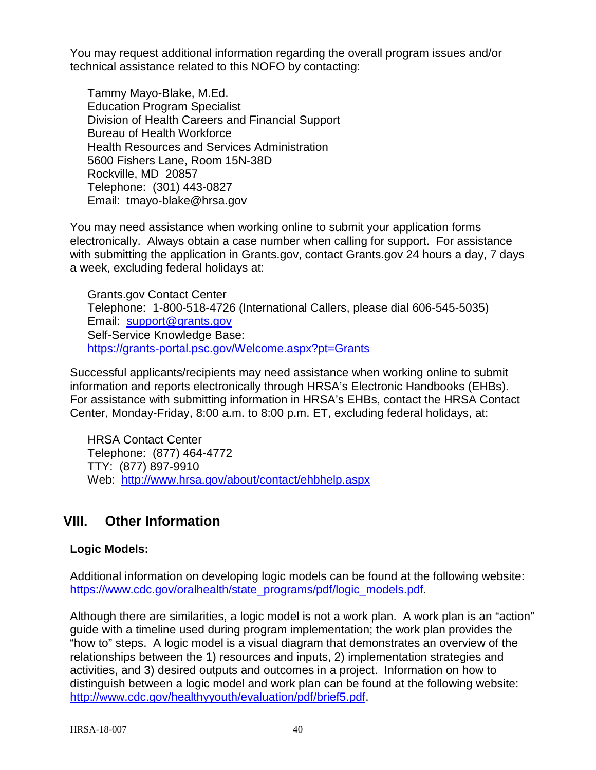You may request additional information regarding the overall program issues and/or technical assistance related to this NOFO by contacting:

Tammy Mayo-Blake, M.Ed. Education Program Specialist Division of Health Careers and Financial Support Bureau of Health Workforce Health Resources and Services Administration 5600 Fishers Lane, Room 15N-38D Rockville, MD 20857 Telephone: (301) 443-0827 Email: tmayo-blake@hrsa.gov

You may need assistance when working online to submit your application forms electronically. Always obtain a case number when calling for support. For assistance with submitting the application in Grants.gov, contact Grants.gov 24 hours a day, 7 days a week, excluding federal holidays at:

Grants.gov Contact Center Telephone: 1-800-518-4726 (International Callers, please dial 606-545-5035) Email: [support@grants.gov](mailto:support@grants.gov) Self-Service Knowledge Base: <https://grants-portal.psc.gov/Welcome.aspx?pt=Grants>

Successful applicants/recipients may need assistance when working online to submit information and reports electronically through HRSA's Electronic Handbooks (EHBs). For assistance with submitting information in HRSA's EHBs, contact the HRSA Contact Center, Monday-Friday, 8:00 a.m. to 8:00 p.m. ET, excluding federal holidays, at:

HRSA Contact Center Telephone: (877) 464-4772 TTY: (877) 897-9910 Web: <http://www.hrsa.gov/about/contact/ehbhelp.aspx>

## <span id="page-44-0"></span>**VIII. Other Information**

## **Logic Models:**

Additional information on developing logic models can be found at the following website: [https://www.cdc.gov/oralhealth/state\\_programs/pdf/logic\\_models.pdf.](https://www.cdc.gov/oralhealth/state_programs/pdf/logic_models.pdf)

Although there are similarities, a logic model is not a work plan. A work plan is an "action" guide with a timeline used during program implementation; the work plan provides the "how to" steps. A logic model is a visual diagram that demonstrates an overview of the relationships between the 1) resources and inputs, 2) implementation strategies and activities, and 3) desired outputs and outcomes in a project. Information on how to distinguish between a logic model and work plan can be found at the following website: [http://www.cdc.gov/healthyyouth/evaluation/pdf/brief5.pdf.](http://www.cdc.gov/healthyyouth/evaluation/pdf/brief5.pdf)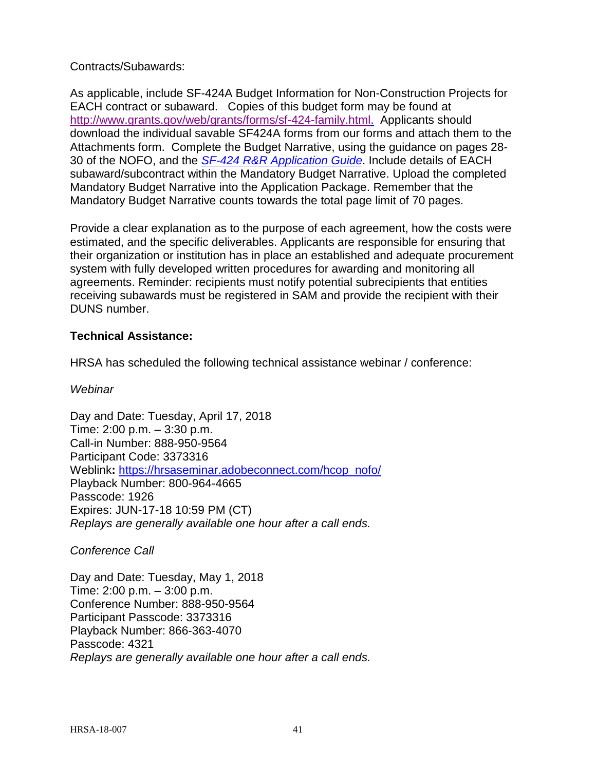#### Contracts/Subawards:

As applicable, include SF-424A Budget Information for Non-Construction Projects for EACH contract or subaward. Copies of this budget form may be found at [http://www.grants.gov/web/grants/forms/sf-424-family.html.](http://www.grants.gov/web/grants/forms/sf-424-family.html) Applicants should download the individual savable SF424A forms from our forms and attach them to the Attachments form. Complete the Budget Narrative, using the guidance on pages 28- 30 of the NOFO, and the *[SF-424](http://www.hrsa.gov/grants/apply/applicationguide/sf424rrguidev2.pdf,) [R](http://www.hrsa.gov/grants/apply/applicationguide/sf424rrguidev2.pdf,)&R [Application Guide](http://www.hrsa.gov/grants/apply/applicationguide/sf424rrguidev2.pdf)*. Include details of EACH subaward/subcontract within the Mandatory Budget Narrative. Upload the completed Mandatory Budget Narrative into the Application Package. Remember that the Mandatory Budget Narrative counts towards the total page limit of 70 pages.

Provide a clear explanation as to the purpose of each agreement, how the costs were estimated, and the specific deliverables. Applicants are responsible for ensuring that their organization or institution has in place an established and adequate procurement system with fully developed written procedures for awarding and monitoring all agreements. Reminder: recipients must notify potential subrecipients that entities receiving subawards must be registered in SAM and provide the recipient with their DUNS number.

#### **Technical Assistance:**

HRSA has scheduled the following technical assistance webinar / conference:

#### *Webinar*

Day and Date: Tuesday, April 17, 2018 Time: 2:00 p.m. – 3:30 p.m. Call-in Number: 888-950-9564 Participant Code: 3373316 Weblink**:** [https://hrsaseminar.adobeconnect.com/hcop\\_nofo/](https://hrsaseminar.adobeconnect.com/hcop_nofo/) Playback Number: 800-964-4665 Passcode: 1926 Expires: JUN-17-18 10:59 PM (CT) *Replays are generally available one hour after a call ends.*

*Conference Call*

Day and Date: Tuesday, May 1, 2018 Time: 2:00 p.m. – 3:00 p.m. Conference Number: 888-950-9564 Participant Passcode: 3373316 Playback Number: 866-363-4070 Passcode: 4321 *Replays are generally available one hour after a call ends.*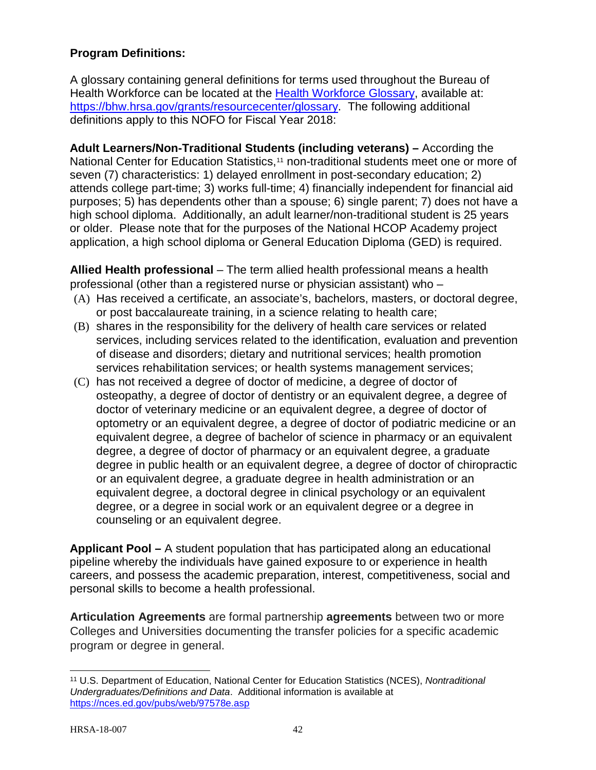#### **Program Definitions:**

A glossary containing general definitions for terms used throughout the Bureau of Health Workforce can be located at the [Health Workforce Glossary,](https://bhw.hrsa.gov/grants/resourcecenter/glossary) available at: [https://bhw.hrsa.gov/grants/resourcecenter/glossary.](https://bhw.hrsa.gov/grants/resourcecenter/glossary) The following additional definitions apply to this NOFO for Fiscal Year 2018:

**Adult Learners/Non-Traditional Students (including veterans) –** According the National Center for Education Statistics,[11](#page-46-0) non-traditional students meet one or more of seven (7) characteristics: 1) delayed enrollment in post-secondary education; 2) attends college part-time; 3) works full-time; 4) financially independent for financial aid purposes; 5) has dependents other than a spouse; 6) single parent; 7) does not have a high school diploma. Additionally, an adult learner/non-traditional student is 25 years or older. Please note that for the purposes of the National HCOP Academy project application, a high school diploma or General Education Diploma (GED) is required.

**Allied Health professional** – The term allied health professional means a health professional (other than a registered nurse or physician assistant) who –

- (A) Has received a certificate, an associate's, bachelors, masters, or doctoral degree, or post baccalaureate training, in a science relating to health care;
- (B) shares in the responsibility for the delivery of health care services or related services, including services related to the identification, evaluation and prevention of disease and disorders; dietary and nutritional services; health promotion services rehabilitation services; or health systems management services;
- (C) has not received a degree of doctor of medicine, a degree of doctor of osteopathy, a degree of doctor of dentistry or an equivalent degree, a degree of doctor of veterinary medicine or an equivalent degree, a degree of doctor of optometry or an equivalent degree, a degree of doctor of podiatric medicine or an equivalent degree, a degree of bachelor of science in pharmacy or an equivalent degree, a degree of doctor of pharmacy or an equivalent degree, a graduate degree in public health or an equivalent degree, a degree of doctor of chiropractic or an equivalent degree, a graduate degree in health administration or an equivalent degree, a doctoral degree in clinical psychology or an equivalent degree, or a degree in social work or an equivalent degree or a degree in counseling or an equivalent degree.

**Applicant Pool –** A student population that has participated along an educational pipeline whereby the individuals have gained exposure to or experience in health careers, and possess the academic preparation, interest, competitiveness, social and personal skills to become a health professional.

**Articulation Agreements** are formal partnership **agreements** between two or more Colleges and Universities documenting the transfer policies for a specific academic program or degree in general.

<span id="page-46-0"></span> $\overline{a}$ <sup>11</sup> U.S. Department of Education, National Center for Education Statistics (NCES), *Nontraditional Undergraduates/Definitions and Data*. Additional information is available at <https://nces.ed.gov/pubs/web/97578e.asp>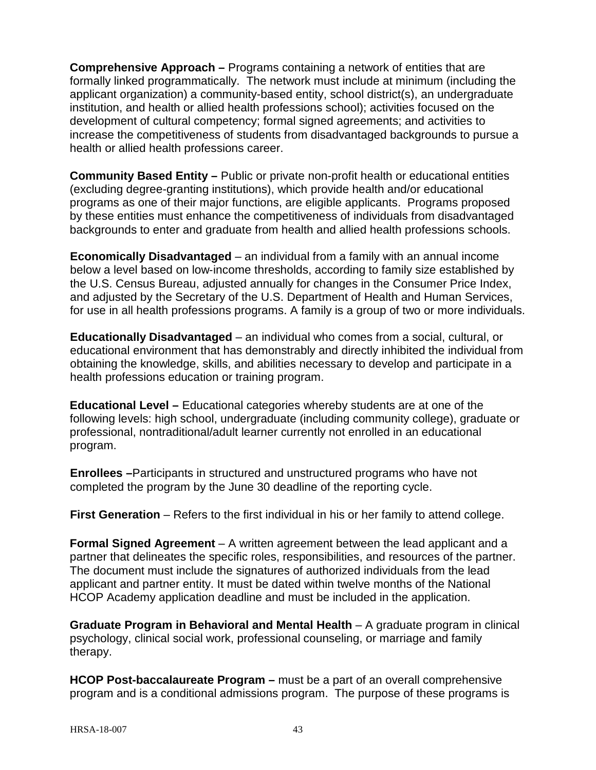**Comprehensive Approach –** Programs containing a network of entities that are formally linked programmatically. The network must include at minimum (including the applicant organization) a community-based entity, school district(s), an undergraduate institution, and health or allied health professions school); activities focused on the development of cultural competency; formal signed agreements; and activities to increase the competitiveness of students from disadvantaged backgrounds to pursue a health or allied health professions career.

**Community Based Entity –** Public or private non-profit health or educational entities (excluding degree-granting institutions), which provide health and/or educational programs as one of their major functions, are eligible applicants. Programs proposed by these entities must enhance the competitiveness of individuals from disadvantaged backgrounds to enter and graduate from health and allied health professions schools.

**Economically Disadvantaged** – an individual from a family with an annual income below a level based on low‐income thresholds, according to family size established by the U.S. Census Bureau, adjusted annually for changes in the Consumer Price Index, and adjusted by the Secretary of the U.S. Department of Health and Human Services, for use in all health professions programs. A family is a group of two or more individuals.

**Educationally Disadvantaged** – an individual who comes from a social, cultural, or educational environment that has demonstrably and directly inhibited the individual from obtaining the knowledge, skills, and abilities necessary to develop and participate in a health professions education or training program.

**Educational Level –** Educational categories whereby students are at one of the following levels: high school, undergraduate (including community college), graduate or professional, nontraditional/adult learner currently not enrolled in an educational program.

**Enrollees –**Participants in structured and unstructured programs who have not completed the program by the June 30 deadline of the reporting cycle.

**First Generation** – Refers to the first individual in his or her family to attend college.

**Formal Signed Agreement** – A written agreement between the lead applicant and a partner that delineates the specific roles, responsibilities, and resources of the partner. The document must include the signatures of authorized individuals from the lead applicant and partner entity. It must be dated within twelve months of the National HCOP Academy application deadline and must be included in the application.

**Graduate Program in Behavioral and Mental Health** – A graduate program in clinical psychology, clinical social work, professional counseling, or marriage and family therapy.

**HCOP Post-baccalaureate Program –** must be a part of an overall comprehensive program and is a conditional admissions program. The purpose of these programs is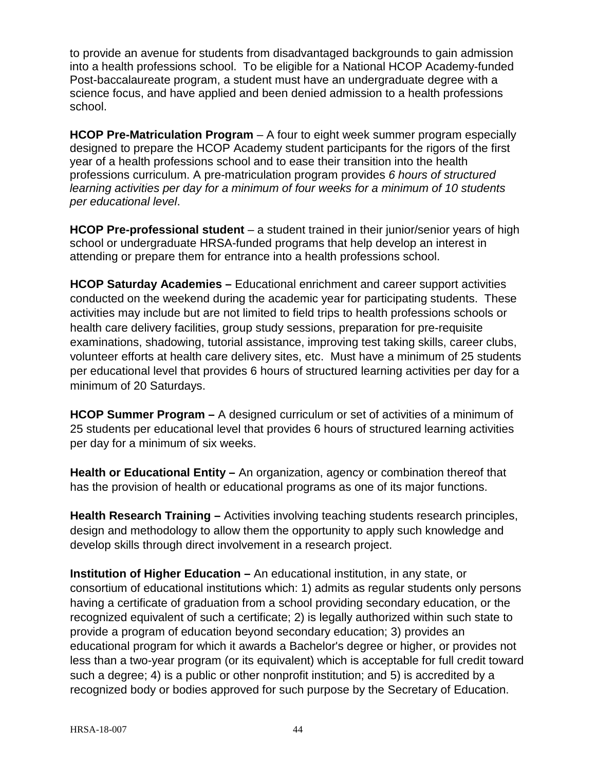to provide an avenue for students from disadvantaged backgrounds to gain admission into a health professions school. To be eligible for a National HCOP Academy-funded Post-baccalaureate program, a student must have an undergraduate degree with a science focus, and have applied and been denied admission to a health professions school.

**HCOP Pre-Matriculation Program** – A four to eight week summer program especially designed to prepare the HCOP Academy student participants for the rigors of the first year of a health professions school and to ease their transition into the health professions curriculum. A pre-matriculation program provides *6 hours of structured learning activities per day for a minimum of four weeks for a minimum of 10 students per educational level*.

**HCOP Pre-professional student** – a student trained in their junior/senior years of high school or undergraduate HRSA-funded programs that help develop an interest in attending or prepare them for entrance into a health professions school.

**HCOP Saturday Academies –** Educational enrichment and career support activities conducted on the weekend during the academic year for participating students. These activities may include but are not limited to field trips to health professions schools or health care delivery facilities, group study sessions, preparation for pre-requisite examinations, shadowing, tutorial assistance, improving test taking skills, career clubs, volunteer efforts at health care delivery sites, etc. Must have a minimum of 25 students per educational level that provides 6 hours of structured learning activities per day for a minimum of 20 Saturdays.

**HCOP Summer Program –** A designed curriculum or set of activities of a minimum of 25 students per educational level that provides 6 hours of structured learning activities per day for a minimum of six weeks.

**Health or Educational Entity –** An organization, agency or combination thereof that has the provision of health or educational programs as one of its major functions.

**Health Research Training –** Activities involving teaching students research principles, design and methodology to allow them the opportunity to apply such knowledge and develop skills through direct involvement in a research project.

**Institution of Higher Education –** An educational institution, in any state, or consortium of educational institutions which: 1) admits as regular students only persons having a certificate of graduation from a school providing secondary education, or the recognized equivalent of such a certificate; 2) is legally authorized within such state to provide a program of education beyond secondary education; 3) provides an educational program for which it awards a Bachelor's degree or higher, or provides not less than a two-year program (or its equivalent) which is acceptable for full credit toward such a degree; 4) is a public or other nonprofit institution; and 5) is accredited by a recognized body or bodies approved for such purpose by the Secretary of Education.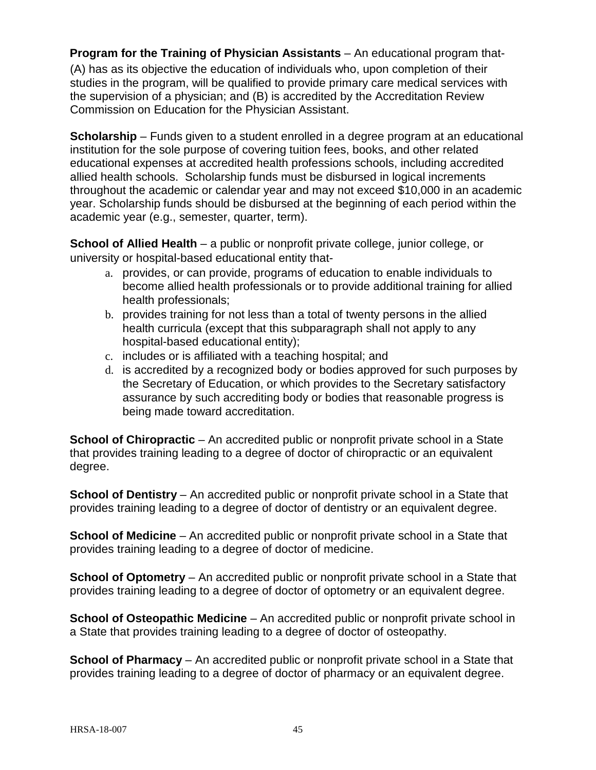**Program for the Training of Physician Assistants** – An educational program that-

(A) has as its objective the education of individuals who, upon completion of their studies in the program, will be qualified to provide primary care medical services with the supervision of a physician; and (B) is accredited by the Accreditation Review Commission on Education for the Physician Assistant.

**Scholarship** – Funds given to a student enrolled in a degree program at an educational institution for the sole purpose of covering tuition fees, books, and other related educational expenses at accredited health professions schools, including accredited allied health schools. Scholarship funds must be disbursed in logical increments throughout the academic or calendar year and may not exceed \$10,000 in an academic year. Scholarship funds should be disbursed at the beginning of each period within the academic year (e.g., semester, quarter, term).

**School of Allied Health** – a public or nonprofit private college, junior college, or university or hospital-based educational entity that-

- a. provides, or can provide, programs of education to enable individuals to become allied health professionals or to provide additional training for allied health professionals;
- b. provides training for not less than a total of twenty persons in the allied health curricula (except that this subparagraph shall not apply to any hospital-based educational entity);
- c. includes or is affiliated with a teaching hospital; and
- d. is accredited by a recognized body or bodies approved for such purposes by the Secretary of Education, or which provides to the Secretary satisfactory assurance by such accrediting body or bodies that reasonable progress is being made toward accreditation.

**School of Chiropractic** – An accredited public or nonprofit private school in a State that provides training leading to a degree of doctor of chiropractic or an equivalent degree.

**School of Dentistry** – An accredited public or nonprofit private school in a State that provides training leading to a degree of doctor of dentistry or an equivalent degree.

**School of Medicine** – An accredited public or nonprofit private school in a State that provides training leading to a degree of doctor of medicine.

**School of Optometry** – An accredited public or nonprofit private school in a State that provides training leading to a degree of doctor of optometry or an equivalent degree.

**School of Osteopathic Medicine** – An accredited public or nonprofit private school in a State that provides training leading to a degree of doctor of osteopathy.

**School of Pharmacy** – An accredited public or nonprofit private school in a State that provides training leading to a degree of doctor of pharmacy or an equivalent degree.